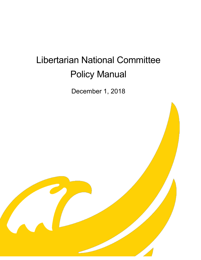# Libertarian National Committee Policy Manual

December 1, 2018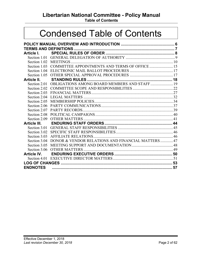# **Libertarian National Committee - Policy Manual**

**Table of Contents**

# Condensed Table of Contents

| Article I.          |                                                           |  |
|---------------------|-----------------------------------------------------------|--|
|                     |                                                           |  |
|                     |                                                           |  |
| Section 1.03        | COMMITTEE APPOINTMENTS AND TERMS OF OFFICE  15            |  |
| Section 1.04        |                                                           |  |
|                     |                                                           |  |
| Article II.         |                                                           |  |
|                     | Section 2.01 OBLIGATIONS AMONG BOARD MEMBERS AND STAFF 19 |  |
|                     |                                                           |  |
| Section 2.03        |                                                           |  |
| Section 2.04        |                                                           |  |
| Section 2.05        |                                                           |  |
| Section 2.06        |                                                           |  |
| Section 2.07        |                                                           |  |
| Section 2.08        |                                                           |  |
| Section 2.09        |                                                           |  |
| <b>Article III.</b> |                                                           |  |
|                     |                                                           |  |
| Section 3.02        |                                                           |  |
| Section 3.03        |                                                           |  |
| Section 3.04        | DONOR & VENDOR RELATIONS AND FINANCIAL MATTERS47          |  |
| Section 3.05        |                                                           |  |
| Section 3.06        |                                                           |  |
| <b>Article IV.</b>  |                                                           |  |
|                     |                                                           |  |
|                     |                                                           |  |
| <b>ENDNOTES</b>     |                                                           |  |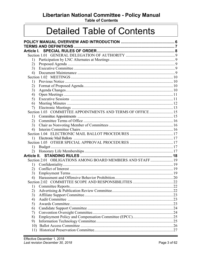# Libertarian National Committee - Policy Manual

**Table of Contents** 

# **Detailed Table of Contents**

| Article I. |                                                            |  |
|------------|------------------------------------------------------------|--|
|            |                                                            |  |
|            |                                                            |  |
| 1)         |                                                            |  |
| 2)         |                                                            |  |
| 3)         |                                                            |  |
| 4)         |                                                            |  |
|            |                                                            |  |
| 1)         |                                                            |  |
| 2)         |                                                            |  |
| 3)         |                                                            |  |
| 4)         |                                                            |  |
| 5)         |                                                            |  |
| 6)         |                                                            |  |
| 7)         |                                                            |  |
|            | Section 1.03 COMMITTEE APPOINTMENTS AND TERMS OF OFFICE 15 |  |
| 1)         |                                                            |  |
| 2)         |                                                            |  |
| 3)         |                                                            |  |
| 4)         |                                                            |  |
|            |                                                            |  |
| 1)         |                                                            |  |
|            |                                                            |  |
| 1)         |                                                            |  |
| 2)         |                                                            |  |
|            |                                                            |  |
|            | Section 2.01 OBLIGATIONS AMONG BOARD MEMBERS AND STAFF 19  |  |
| 1)         |                                                            |  |
| 2)         |                                                            |  |
| 3)         |                                                            |  |
| 4)         |                                                            |  |
|            |                                                            |  |
| 1)         |                                                            |  |
| 2)         |                                                            |  |
| 3)         |                                                            |  |
| 4)         |                                                            |  |
| 5)         |                                                            |  |
| 6)         |                                                            |  |
| 7)         |                                                            |  |
| 8)         |                                                            |  |
| 9)         |                                                            |  |
|            |                                                            |  |
| 11)        |                                                            |  |
|            |                                                            |  |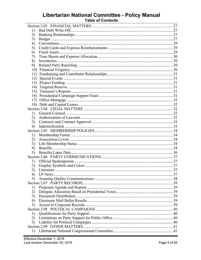# Libertarian National Committee - Policy Manual<br>Table of Contents

| 1)  |  |
|-----|--|
| 2)  |  |
| 3)  |  |
| 4)  |  |
| 5)  |  |
| 6)  |  |
| 7)  |  |
| 8)  |  |
| 9)  |  |
| 10) |  |
| 11) |  |
| 12) |  |
| 13) |  |
| 14) |  |
| 15) |  |
| 16) |  |
| 17) |  |
|     |  |
|     |  |
| 1)  |  |
| 2)  |  |
| 3)  |  |
| 4)  |  |
|     |  |
| 1)  |  |
| 2)  |  |
| 3)  |  |
| 4)  |  |
| 5)  |  |
|     |  |
| 1)  |  |
| 2)  |  |
| 3)  |  |
| 4)  |  |
| 5)  |  |
|     |  |
| 1)  |  |
| 2)  |  |
| 3)  |  |
| 4)  |  |
| 5)  |  |
|     |  |
| 1)  |  |
| 2)  |  |
| 3)  |  |
|     |  |
| 1)  |  |
|     |  |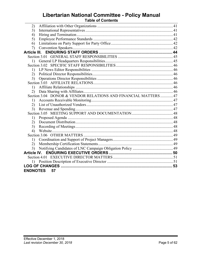# **Libertarian National Committee - Policy Manual Table of Contents**

| 2)               |                                                                 |  |  |
|------------------|-----------------------------------------------------------------|--|--|
| 3)               |                                                                 |  |  |
| 4)               |                                                                 |  |  |
| 5)               |                                                                 |  |  |
| 6)               |                                                                 |  |  |
| 7)               |                                                                 |  |  |
|                  |                                                                 |  |  |
|                  |                                                                 |  |  |
| $\left( \right)$ |                                                                 |  |  |
|                  |                                                                 |  |  |
| 1)               |                                                                 |  |  |
| 2)               |                                                                 |  |  |
| 3)               |                                                                 |  |  |
|                  |                                                                 |  |  |
| 1)               |                                                                 |  |  |
| 2)               |                                                                 |  |  |
|                  | Section 3.04 DONOR & VENDOR RELATIONS AND FINANCIAL MATTERS  47 |  |  |
| 1)               |                                                                 |  |  |
| 2)               |                                                                 |  |  |
| 3)               |                                                                 |  |  |
|                  |                                                                 |  |  |
| 1)               |                                                                 |  |  |
| 2)               |                                                                 |  |  |
| 3)               |                                                                 |  |  |
| 4)               |                                                                 |  |  |
|                  |                                                                 |  |  |
| 1)               |                                                                 |  |  |
| 2)               |                                                                 |  |  |
| 3)               |                                                                 |  |  |
|                  |                                                                 |  |  |
|                  |                                                                 |  |  |
|                  |                                                                 |  |  |
|                  |                                                                 |  |  |
| <b>ENDNOTES</b>  | 57                                                              |  |  |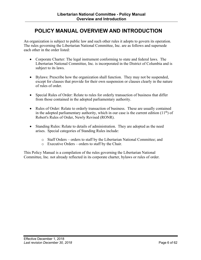# <span id="page-5-0"></span>**POLICY MANUAL OVERVIEW AND INTRODUCTION**

An organization is subject to public law and such other rules it adopts to govern its operation. The rules governing the Libertarian National Committee, Inc. are as follows and supersede each other in the order listed:

- Corporate Charter: The legal instrument conforming to state and federal laws. The Libertarian National Committee, Inc. is incorporated in the District of Columbia and is subject to its laws.
- Bylaws: Prescribe how the organization shall function. They may not be suspended, except for clauses that provide for their own suspension or clauses clearly in the nature of rules of order.
- Special Rules of Order: Relate to rules for orderly transaction of business that differ from those contained in the adopted parliamentary authority.
- Rules of Order: Relate to orderly transaction of business. These are usually contained in the adopted parliamentary authority, which in our case is the current edition  $(11<sup>th</sup>)$  of Robert's Rules of Order, Newly Revised (RONR).
- Standing Rules: Relate to details of administration. They are adopted as the need arises. Special categories of Standing Rules include:
	- o Staff Orders orders to staff by the Libertarian National Committee; and
	- o Executive Orders orders to staff by the Chair.

This Policy Manual is a compilation of the rules governing the Libertarian National Committee, Inc. not already reflected in its corporate charter, bylaws or rules of order.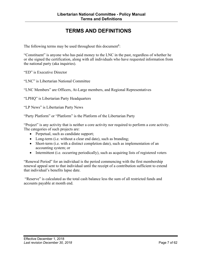# **TERMS AND DEFINITIONS**

<span id="page-6-0"></span>The following terms may be used throughout this document**<sup>1</sup>**:

"Constituent" is anyone who has paid money to the LNC in the past, regardless of whether he or she signed the certification, along with all individuals who have requested information from the national party (aka inquiries).

"ED" is Executive Director

"LNC" is Libertarian National Committee

"LNC Members" are Officers, At-Large members, and Regional Representatives

"LPHQ" is Libertarian Party Headquarters

"LP News" is Libertarian Party News

"Party Platform" or "Platform" is the Platform of the Libertarian Party

"Project" is any activity that is neither a core activity nor required to perform a core activity. The categories of such projects are:

- Perpetual, such as candidate support;
- Long-term (i.e. without a clear end date), such as branding;
- Short-term (i.e. with a distinct completion date), such as implementation of an accounting system; or
- Intermittent (i.e. occurring periodically), such as acquiring lists of registered voters

"Renewal Period" for an individual is the period commencing with the first membership renewal appeal sent to that individual until the receipt of a contribution sufficient to extend that individual's benefits lapse date.

"Reserve" is calculated as the total cash balance less the sum of all restricted funds and accounts payable at month end.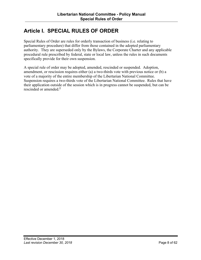# <span id="page-7-0"></span>**Article I. SPECIAL RULES OF ORDER**

Special Rules of Order are rules for orderly transaction of business (i.e. relating to parliamentary procedure) that differ from those contained in the adopted parliamentary authority. They are superseded only by the Bylaws, the Corporate Charter and any applicable procedural rule prescribed by federal, state or local law, unless the rules in such documents specifically provide for their own suspension.

A special rule of order may be adopted, amended, rescinded or suspended. Adoption, amendment, or rescission requires either (a) a two-thirds vote with previous notice or (b) a vote of a majority of the entire membership of the Libertarian National Committee. Suspension requires a two-thirds vote of the Libertarian National Committee. Rules that have their application outside of the session which is in progress cannot be suspended, but can be rescinded or amended. **2**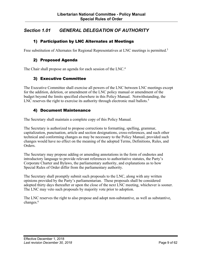# <span id="page-8-0"></span>*Section 1.01 GENERAL DELEGATION OF AUTHORITY*

#### 1) Participation by LNC Alternates at Meetings

Free substitution of Alternates for Regional Representatives at LNC meetings is permitted.<sup>3</sup>

#### 2) Proposed Agenda

The Chair shall propose an agenda for each session of the LNC.<sup>4</sup>

#### 3) Executive Committee

The Executive Committee shall exercise all powers of the LNC between LNC meetings except for the addition, deletion, or amendment of the LNC policy manual or amendment of the budget beyond the limits specified elsewhere in this Policy Manual. Notwithstanding, the LNC reserves the right to exercise its authority through electronic mail ballots.<sup>5</sup>

#### 4) Document Maintenance

The Secretary shall maintain a complete copy of this Policy Manual.

The Secretary is authorized to propose corrections to formatting, spelling, grammar, capitalization, punctuation, article and section designations, cross-references, and such other technical and conforming changes as may be necessary to the Policy Manual, provided such changes would have no effect on the meaning of the adopted Terms, Definitions, Rules, and Orders.

The Secretary may propose adding or amending annotations in the form of endnotes and introductory language to provide relevant references to authoritative statutes, the Party's Corporate Charter and Bylaws, the parliamentary authority, and explanations as to how Special Rules of Order differ from the parliamentary authority.

The Secretary shall promptly submit such proposals to the LNC, along with any written opinions provided by the Party's parliamentarian. These proposals shall be considered adopted thirty days thereafter or upon the close of the next LNC meeting, whichever is sooner. The LNC may veto such proposals by majority vote prior to adoption.

The LNC reserves the right to also propose and adopt non-substantive, as well as substantive, changes.<sup>6</sup>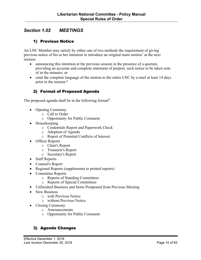# <span id="page-9-0"></span>*Section 1.02 MEETINGS*

## 1) Previous Notice

An LNC Member may satisfy by either one of two methods the requirement of giving previous notice of his or her intention to introduce an original main motion<sup>7</sup> at the next session:

- announcing this intention at the previous session in the presence of a quorum, providing an accurate and complete statement of purport, such notice to be taken note of in the minutes; or
- send the complete language of the motion to the entire LNC by e-mail at least 14 days prior to the session. 8

#### 2) Format of Proposed Agenda

The proposed agenda shall be in the following format<sup>9</sup>:

- Opening Ceremony
	- o Call to Order
	- o Opportunity for Public Comment
- Housekeeping
	- o Credentials Report and Paperwork Check
	- o Adoption of Agenda
	- o Report of Potential Conflicts of Interest
- Officer Reports
	- o Chair's Report
	- o Treasurer's Report
	- o Secretary's Report
- Staff Reports
- Counsel's Report
- Regional Reports (supplements to printed reports)
- Committee Reports
	- o Reports of Standing Committees
	- o Reports of Special Committees
- Unfinished Business and Items Postponed from Previous Meeting
- New Business
	- o with Previous Notice
	- o without Previous Notice
- Closing Ceremony
	- o Announcements
	- o Opportunity for Public Comment

# 3) Agenda Changes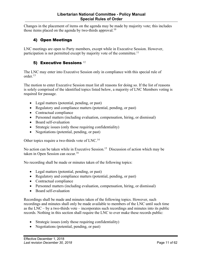<span id="page-10-0"></span>Changes in the placement of items on the agenda may be made by majority vote; this includes those items placed on the agenda by two-thirds approval.<sup>10</sup>

# 4) Open Meetings

LNC meetings are open to Party members, except while in Executive Session. However, participation is not permitted except by majority vote of the committee.<sup>11</sup>

# 5) Executive Sessions 12

The LNC may enter into Executive Session only in compliance with this special rule of order.13

The motion to enter Executive Session must list all reasons for doing so. If the list of reasons is solely comprised of the identified topics listed below, a majority of LNC Members voting is required for passage.

- Legal matters (potential, pending, or past)
- Regulatory and compliance matters (potential, pending, or past)
- Contractual compliance
- Personnel matters (including evaluation, compensation, hiring, or dismissal)
- Board self-evaluation
- Strategic issues (only those requiring confidentiality)
- Negotiations (potential, pending, or past)

Other topics require a two-thirds vote of LNC.14

No action can be taken while in Executive Session.<sup>15</sup> Discussion of action which may be taken in Open Session can occur.<sup>16</sup>

No recording shall be made or minutes taken of the following topics:

- Legal matters (potential, pending, or past)
- Regulatory and compliance matters (potential, pending, or past)
- Contractual compliance
- Personnel matters (including evaluation, compensation, hiring, or dismissal)
- Board self-evaluation

Recordings shall be made and minutes taken of the following topics. However, such recordings and minutes shall only be made available to members of the LNC until such time as the LNC – by a two-thirds vote – incorporates such recordings and minutes into its public records. Nothing in this section shall require the LNC to ever make these records public:

- Strategic issues (only those requiring confidentiality)
- Negotiations (potential, pending, or past)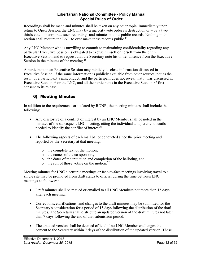<span id="page-11-0"></span>Recordings shall be made and minutes shall be taken on any other topic. Immediately upon return to Open Session, the LNC may by a majority vote order its destruction or – by a twothirds vote – incorporate such recordings and minutes into its public records. Nothing in this section shall require the LNC to ever make these records public.<sup>17</sup>

Any LNC Member who is unwilling to commit to maintaining confidentiality regarding any particular Executive Session is obligated to excuse himself or herself from the entire Executive Session and to request that the Secretary note his or her absence from the Executive Session in the minutes of the meeting.<sup>18</sup>

A participant in an Executive Session may publicly disclose information discussed in Executive Session, if the same information is publicly available from other sources, not as the result of a participant's misconduct, and the participant does not reveal that it was discussed in Executive Session;<sup>19</sup> or the LNC, and all the participants in the Executive Session,  $20$  first consent to its release.

# 6) Meeting Minutes

In addition to the requirements articulated by RONR, the meeting minutes shall include the following:

- Any disclosure of a conflict of interest by an LNC Member shall be noted in the minutes of the subsequent LNC meeting, citing the individual and pertinent details needed to identify the conflict of interest $2<sup>1</sup>$
- The following aspects of each mail ballot conducted since the prior meeting and reported by the Secretary at that meeting:
	- o the complete text of the motion,
	- o the names of the co-sponsors,
	- o the dates of the initiation and completion of the balloting, and
	- $\circ$  the roll of those voting on the motion.<sup>22</sup>

Meeting minutes for LNC electronic meetings or face-to-face meetings involving travel to a single site may be promoted from draft status to official during the time between LNC meetings as follows<sup>23</sup>:

- Draft minutes shall be mailed or emailed to all LNC Members not more than 15 days after each meeting.
- Corrections, clarifications, and changes to the draft minutes may be submitted for the Secretary's consideration for a period of 15 days following the distribution of the draft minutes. The Secretary shall distribute an updated version of the draft minutes not later than 7 days following the end of that submission period.
- The updated version shall be deemed official if no LNC Member challenges the content to the Secretary within 7 days of the distribution of the updated version. These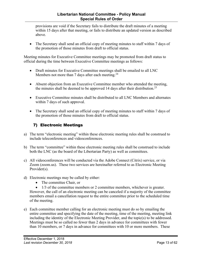<span id="page-12-0"></span>provisions are void if the Secretary fails to distribute the draft minutes of a meeting within 15 days after that meeting, or fails to distribute an updated version as described above.

• The Secretary shall send an official copy of meeting minutes to staff within 7 days of the promotion of those minutes from draft to official status.

Meeting minutes for Executive Committee meetings may be promoted from draft status to official during the time between Executive Committee meetings as follows:

- Draft minutes for Executive Committee meetings shall be emailed to all LNC Members not more than 7 days after each meeting.<sup>24</sup>
- Absent objection from an Executive Committee member who attended the meeting, the minutes shall be deemed to be approved 14 days after their distribution.<sup>25</sup>
- Executive Committee minutes shall be distributed to all LNC Members and alternates within 7 days of such approval.
- The Secretary shall send an official copy of meeting minutes to staff within 7 days of the promotion of those minutes from draft to official status.

# 7) Electronic Meetings

- a) The term "electronic meeting" within these electronic meeting rules shall be construed to include teleconferences and videoconferences.
- b) The term "committee" within these electronic meeting rules shall be construed to include both the LNC (as the board of the Libertarian Party) as well as committees.
- c) All videoconferences will be conducted via the Adobe Connect (Citrix) service, or via Zoom (zoom.us). These two services are hereinafter referred to as Electronic Meeting Provider(s).
- d) Electronic meetings may be called by either:
	- The committee Chair, or

• 1/3 of the committee members or 2 committee members, whichever is greater. However, the call of an electronic meeting can be canceled if a majority of the committee members email a cancellation request to the entire committee prior to the scheduled time of the meeting.

e) Each committee member calling for an electronic meeting must do so by emailing the entire committee and specifying the date of the meeting, time of the meeting, meeting link including the identity of the Electronic Meeting Provider, and the topic(s) to be addressed. Meetings must be so called no fewer than 2 days in advance for committees with fewer than 10 members, or 7 days in advance for committees with 10 or more members. These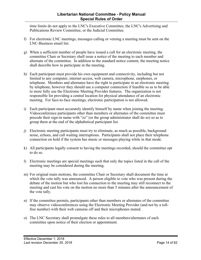time limits do not apply to the LNC's Executive Committee, the LNC's Advertising and Publications Review Committee, or the Judicial Committee.

- f) For electronic LNC meetings, messages calling or vetoing a meeting must be sent on the LNC-Business email list.
- g) When a sufficient number of people have issued a call for an electronic meeting, the committee Chair or Secretary shall issue a notice of the meeting to each member and alternate of the committee. In addition to the standard notice content, the meeting notice shall describe how to participate in the meeting.
- h) Each participant must provide his own equipment and connectivity, including but not limited to any computer, internet access, web camera, microphone, earphones, or telephone. Members and alternates have the right to participate in an electronic meeting by telephone, however they should use a computer connection if feasible so as to be able to more fully use the Electronic Meeting Provider features. The organization is not responsible for providing a central location for physical attendance of an electronic meeting. For face-to-face meetings, electronic participation is not allowed.
- i) Each participant must accurately identify himself by name when joining the meeting. Videoconference participants other than members or alternates of the committee must precede their sign-in name with "zz" (or the group administrator shall do so) so as to group them at the end of the alphabetical participant list.
- j) Electronic meeting participants must try to eliminate, as much as possible, background noise, echoes, and call waiting interruptions. Participants shall not place their telephone connection on hold if the system has music or messages playing while in that mode.
- k) All participants legally consent to having the meetings recorded, should the committee opt to do so.
- l) Electronic meetings are special meetings such that only the topics listed in the call of the meeting may be considered during the meeting.
- m) For original main motions, the committee Chair or Secretary shall document the time at which the vote tally was announced. A person eligible to vote who was present during the debate of the motion but who lost his connection to the meeting may still reconnect to the meeting and cast his vote on the motion no more than 5 minutes after the announcement of the vote tally.
- n) If the committee permits, participants other than members or alternates of the committee may observe videoconferences using the Electronic Meeting Provider (and not by a tollfree number) with their web cameras off and their microphones muted.
- o) The LNC Secretary shall promulgate these rules to all members/alternates of each committee upon notice of their election or appointment.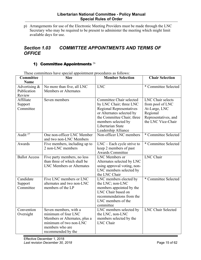<span id="page-14-0"></span>p) Arrangements for use of the Electronic Meeting Providers must be made through the LNC Secretary who may be required to be present to administer the meeting which might limit available days for use.

# *Section 1.03 COMMITTEE APPOINTMENTS AND TERMS OF OFFICE*

# 1) Committee Appointments 26

| Committee<br><b>Name</b>               | <b>Size</b>                                                                                                                                      | <b>Member Selection</b>                                                                                                                                                                                              | <b>Chair Selection</b>                                                                                                  |
|----------------------------------------|--------------------------------------------------------------------------------------------------------------------------------------------------|----------------------------------------------------------------------------------------------------------------------------------------------------------------------------------------------------------------------|-------------------------------------------------------------------------------------------------------------------------|
| Advertising &<br>Publication<br>Review | No more than five, all LNC<br><b>Members or Alternates</b>                                                                                       | <b>LNC</b>                                                                                                                                                                                                           | * Committee Selected                                                                                                    |
| Affiliate<br>Support<br>Committee      | Seven members                                                                                                                                    | Committee Chair selected<br>by LNC Chair; three LNC<br><b>Regional Representatives</b><br>or Alternates selected by<br>the Committee Chair; three<br>members selected by<br>Libertarian State<br>Leadership Alliance | <b>LNC</b> Chair selects<br>from pool of LNC<br>At-Large, LNC<br>Regional<br>Representatives, and<br>the LNC Vice-Chair |
| Audit $27$                             | One non-officer LNC Member<br>and two non-LNC Members                                                                                            | Non-officer LNC members                                                                                                                                                                                              | * Committee Selected                                                                                                    |
| Awards                                 | Five members, including up to<br>2 non-LNC members                                                                                               | $LNC$ – Each cycle strive to<br>keep 2 members of past<br><b>Awards Committee</b>                                                                                                                                    | * Committee Selected                                                                                                    |
| <b>Ballot Access</b>                   | Five party members, no less<br>than three of which shall be<br><b>LNC Members or Alternates</b>                                                  | LNC Members or<br>Alternates selected by LNC<br>using approval voting, non-<br>LNC members selected by<br>the LNC Chair                                                                                              | <b>LNC</b> Chair                                                                                                        |
| Candidate<br>Support<br>Committee      | Five LNC members or LNC<br>alternates and two non-LNC<br>members of the LP                                                                       | LNC members elected by<br>the LNC; non-LNC<br>members appointed by the<br>LNC Chair based on<br>recommendations from the<br>LNC members of the<br>committee                                                          | * Committee Selected                                                                                                    |
| Convention<br>Oversight                | Seven members, with a<br>minimum of four LNC<br>Members or Alternates, plus a<br>minimum of two non-LNC<br>members who are<br>recommended by the | LNC members selected by<br>the LNC, non-LNC<br>members selected by the<br>LNC Chair                                                                                                                                  | <b>LNC Chair Selected</b>                                                                                               |

These committees have special appointment procedures as follows: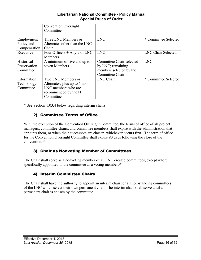#### **Libertarian National Committee - Policy Manual Special Rules of Order**

<span id="page-15-0"></span>

|                          | <b>Convention Oversight</b><br>Committee              |                          |                      |
|--------------------------|-------------------------------------------------------|--------------------------|----------------------|
| Employment<br>Policy and | Three LNC Members or<br>Alternates other than the LNC | <b>LNC</b>               | * Committee Selected |
| Compensation             | Chair                                                 |                          |                      |
| Executive                | Four Officers $+$ Any $\#$ of LNC                     | <b>LNC</b>               | LNC Chair Selected   |
|                          | <b>Members</b>                                        |                          |                      |
| Historical               | A minimum of five and up to                           | Committee Chair selected | <b>LNC</b>           |
| Preservation             | seven Members                                         | by LNC; remaining        |                      |
| Committee                |                                                       | members selected by the  |                      |
|                          |                                                       | Committee Chair          |                      |
| Information              | Two LNC Members or                                    | LNC Chair                | * Committee Selected |
| Technology               | Alternates, plus up to 5 non-                         |                          |                      |
| Committee                | LNC members who are                                   |                          |                      |
|                          | recommended by the IT                                 |                          |                      |
|                          | Committee                                             |                          |                      |

\* See Section 1.03.4 below regarding interim chairs

# 2) Committee Terms of Office

With the exception of the Convention Oversight Committee, the terms of office of all project managers, committee chairs, and committee members shall expire with the administration that appoints them, or when their successors are chosen, whichever occurs first. The term of office for the Convention Oversight Committee shall expire 90 days following the close of the convention. <sup>28</sup>

# 3) Chair as Nonvoting Member of Committees

The Chair shall serve as a nonvoting member of all LNC created committees, except where specifically appointed to the committee as a voting member.<sup>29</sup>

# 4) Interim Committee Chairs

The Chair shall have the authority to appoint an interim chair for all non-standing committees of the LNC which select their own permanent chair. The interim chair shall serve until a permanent chair is chosen by the committee.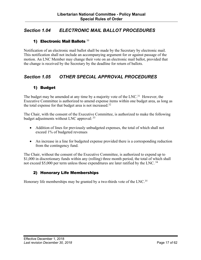# <span id="page-16-0"></span>*Section 1.04 ELECTRONIC MAIL BALLOT PROCEDURES*

#### 1) Electronic Mail Ballots  $30$

Notification of an electronic mail ballot shall be made by the Secretary by electronic mail. This notification shall not include an accompanying argument for or against passage of the motion. An LNC Member may change their vote on an electronic mail ballot, provided that the change is received by the Secretary by the deadline for return of ballots.

# *Section 1.05 OTHER SPECIAL APPROVAL PROCEDURES*

# 1) Budget

The budget may be amended at any time by a majority vote of the  $LNC<sup>31</sup>$  However, the Executive Committee is authorized to amend expense items within one budget area, as long as the total expense for that budget area is not increased.32

The Chair, with the consent of the Executive Committee, is authorized to make the following budget adjustments without LNC approval: <sup>33</sup>

- Addition of lines for previously unbudgeted expenses, the total of which shall not exceed 1% of budgeted revenues
- An increase in a line for budgeted expense provided there is a corresponding reduction from the contingency fund.

The Chair, without the consent of the Executive Committee, is authorized to expend up to \$1,000 in discretionary funds within any (rolling) three month period, the total of which shall not exceed \$5,000 per term unless those expenditures are later ratified by the LNC. <sup>34</sup>

# 2) Honorary Life Memberships

Honorary life memberships may be granted by a two-thirds vote of the LNC.<sup>35</sup>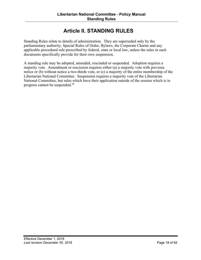# **Article II. STANDING RULES**

<span id="page-17-0"></span>Standing Rules relate to details of administration. They are superseded only by the parliamentary authority, Special Rules of Order, Bylaws, the Corporate Charter and any applicable procedural rule prescribed by federal, state or local law, unless the rules in such documents specifically provide for their own suspension.

A standing rule may be adopted, amended, rescinded or suspended. Adoption requires a majority vote. Amendment or rescission requires either (a) a majority vote with previous notice or (b) without notice a two-thirds vote, or (c) a majority of the entire membership of the Libertarian National Committee. Suspension requires a majority vote of the Libertarian National Committee, but rules which have their application outside of the session which is in progress cannot be suspended.<sup>36</sup>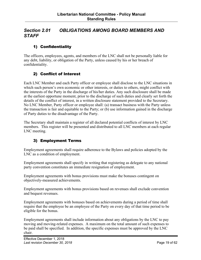# <span id="page-18-0"></span>*Section 2.01 OBLIGATIONS AMONG BOARD MEMBERS AND STAFF*

# 1) Confidentiality

The officers, employees, agents, and members of the LNC shall not be personally liable for any debt, liability, or obligation of the Party, unless caused by his or her breach of confidentiality.

# 2) Conflict of Interest

Each LNC Member and each Party officer or employee shall disclose to the LNC situations in which such person's own economic or other interests, or duties to others, might conflict with the interests of the Party in the discharge of his/her duties. Any such disclosure shall be made at the earliest opportune moment, prior to the discharge of such duties and clearly set forth the details of the conflict of interest, in a written disclosure statement provided to the Secretary. No LNC Member, Party officer or employee shall: (a) transact business with the Party unless the transaction is fair and equitable to the Party; or (b) use information gained in the discharge of Party duties to the disadvantage of the Party.

The Secretary shall maintain a register of all declared potential conflicts of interest by LNC members. This register will be presented and distributed to all LNC members at each regular LNC meeting.

# 3) Employment Terms

Employment agreements shall require adherence to the Bylaws and policies adopted by the LNC as a condition of employment.

Employment agreements shall specify in writing that registering as delegate to any national party convention constitutes an immediate resignation of employment.

Employment agreements with bonus provisions must make the bonuses contingent on objectively-measured achievements.

Employment agreements with bonus provisions based on revenues shall exclude convention and bequest revenues.

Employment agreements with bonuses based on achievements during a period of time shall require that the employee be an employee of the Party on every day of that time period to be eligible for the bonus.

Employment agreements shall include information about any obligations by the LNC to pay moving and moving-related expenses. A maximum on the total amount of such expenses to be paid shall be specified. In addition, the specific expenses must be approved by the LNC chair.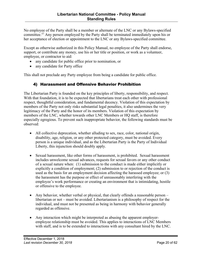<span id="page-19-0"></span>No employee of the Party shall be a member or alternate of the LNC or any Bylaws-specified committee.<sup>37</sup> Any person employed by the Party shall be terminated immediately upon his or her acceptance of election or appointment to the LNC or any Bylaws-specified committee.

Except as otherwise authorized in this Policy Manual, no employee of the Party shall endorse, support, or contribute any money, use his or her title or position, or work as a volunteer, employee, or contractor to aid:

- any candidate for public office prior to nomination, or
- any candidate for Party office

This shall not preclude any Party employee from being a candidate for public office.

#### 4) Harassment and Offensive Behavior Prohibition

The Libertarian Party is founded on the key principles of liberty, responsibility, and respect. With that foundation, it is to be expected that libertarians treat each other with professional respect, thoughtful consideration, and fundamental decency. Violation of this expectation by members of the Party not only risks substantial legal penalties, it also undermines the very legitimacy of the Party and the honor of its members. Violation of this expectation by members of the LNC, whether towards other LNC Members or HQ staff, is therefore especially egregious. To prevent such inappropriate behavior, the following standards must be observed:

- All collective deprecation, whether alluding to sex, race, color, national origin, disability, age, religion, or any other protected category, must be avoided. Every person is a unique individual, and as the Libertarian Party is the Party of Individual Liberty, this injunction should doubly apply.
- Sexual harassment, like other forms of harassment, is prohibited. Sexual harassment includes unwelcome sexual advances, requests for sexual favors or any other conduct of a sexual nature when: (1) submission to the conduct is made either implicitly or explicitly a condition of employment; (2) submission to or rejection of the conduct is used as the basis for an employment decision affecting the harassed employee; or (3) the harassment has the purpose or effect of unreasonably interfering with the employee's work performance or creating an environment that is intimidating, hostile or offensive to the employee.
- Any behavior, whether verbal or physical, that clearly offends a reasonable person libertarian or not – must be avoided. Libertarianism is a philosophy of respect for the individual, and must not be presented as being in harmony with behavior generally regarded as offensive.
- Any interaction which might be interpreted as abusing the apparent employeremployee relationship must be avoided. This applies to interactions of LNC Members with staff, and is to be extended to interactions with any consultant hired by the LNC.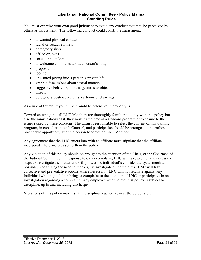#### **Libertarian National Committee - Policy Manual Standing Rules**

You must exercise your own good judgment to avoid any conduct that may be perceived by others as harassment. The following conduct could constitute harassment:

- unwanted physical contact
- racial or sexual epithets
- derogatory slurs
- off-color jokes
- sexual innuendoes
- unwelcome comments about a person's body
- propositions
- leering
- unwanted prying into a person's private life
- graphic discussions about sexual matters
- suggestive behavior, sounds, gestures or objects
- threats
- derogatory posters, pictures, cartoons or drawings

As a rule of thumb, if you think it might be offensive, it probably is.

Toward ensuring that all LNC Members are thoroughly familiar not only with this policy but also the ramifications of it, they must participate in a standard program of exposure to the issues raised by these concerns. The Chair is responsible to select the content of this training program, in consultation with Counsel, and participation should be arranged at the earliest practicable opportunity after the person becomes an LNC Member.

Any agreement that the LNC enters into with an affiliate must stipulate that the affiliate incorporate the principles set forth in the policy.

Any violation of this policy should be brought to the attention of the Chair, or the Chairman of the Judicial Committee. In response to every complaint, LNC will take prompt and necessary steps to investigate the matter and will protect the individual's confidentiality, as much as possible, recognizing the need to thoroughly investigate all complaints. LNC will take corrective and preventative actions where necessary. LNC will not retaliate against any individual who in good faith brings a complaint to the attention of LNC or participates in an investigation regarding a complaint. Any employee who violates this policy is subject to discipline, up to and including discharge.

Violations of this policy may result in disciplinary action against the perpetrator.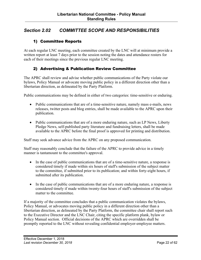# <span id="page-21-0"></span>*Section 2.02 COMMITTEE SCOPE AND RESPONSIBILITIES*

# 1) Committee Reports

At each regular LNC meeting, each committee created by the LNC will at minimum provide a written report at least 7 days prior to the session noting the dates and attendance rosters for each of their meetings since the previous regular LNC meeting.

#### 2) Advertising & Publication Review Committee

The APRC shall review and advise whether public communications of the Party violate our bylaws, Policy Manual or advocate moving public policy in a different direction other than a libertarian direction, as delineated by the Party Platform.

Public communications may be defined in either of two categories: time-sensitive or enduring.

- Public communications that are of a time-sensitive nature, namely mass e-mails, news releases, twitter posts and blog entries, shall be made available to the APRC upon their publication.
- Public communications that are of a more enduring nature, such as LP News, Liberty Pledge News, self-published party literature and fundraising letters, shall be made available to the APRC before the final proof is approved for printing and distribution.

Staff may seek advance advice from the APRC on any proposed communication.

Staff may reasonably conclude that the failure of the APRC to provide advice in a timely manner is tantamount to the committee's approval.

- In the case of public communications that are of a time-sensitive nature, a response is considered timely if made within six hours of staff's submission of the subject matter to the committee, if submitted prior to its publication; and within forty-eight hours, if submitted after its publication.
- In the case of public communications that are of a more enduring nature, a response is considered timely if made within twenty-four hours of staff's submission of the subject matter to the committee.

If a majority of the committee concludes that a public communication violates the bylaws, Policy Manual, or advocates moving public policy in a different direction other than a libertarian direction, as delineated by the Party Platform, the committee chair shall report such to the Executive Director and the LNC Chair, citing the specific platform plank, bylaw or Policy Manual section. Official decisions of the APRC which are overridden shall be promptly reported to the LNC without revealing confidential employer-employee matters.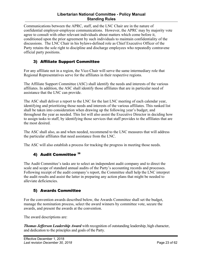#### **Libertarian National Committee - Policy Manual Standing Rules**

<span id="page-22-0"></span>Communications between the APRC, staff, and the LNC Chair are in the nature of confidential employer-employee communications. However, the APRC may by majority vote agree to consult with other relevant individuals about matters which come before it, conditioned upon the prior agreement by such individuals to maintain confidentiality of the discussions. The LNC Chair in his bylaws-defined role as Chief Executive Officer of the Party retains the sole right to discipline and discharge employees who repeatedly contravene official party positions.

# 3) Affiliate Support Committee

For any affiliate not in a region, the Vice-Chair will serve the same intermediary role that Regional Representatives serve for the affiliates in their respective regions.

The Affiliate Support Committee (ASC) shall identify the needs and interests of the various affiliates. In addition, the ASC shall identify those affiliates that are in particular need of assistance that the LNC can provide.

The ASC shall deliver a report to the LNC for the last LNC meeting of each calendar year, identifying and prioritizing those needs and interests of the various affiliates. This ranked list shall be taken into consideration when drawing up the following year's budget, and throughout the year as needed. This list will also assist the Executive Director in deciding how to assign tasks to staff, by identifying those services that staff provides to the affiliates that are the most desired.

The ASC shall also, as and when needed, recommend to the LNC measures that will address the particular affiliates that need assistance from the LNC.

The ASC will also establish a process for tracking the progress in meeting those needs.

# 4) Audit Committee 38

The Audit Committee's tasks are to select an independent audit company and to direct the scale and scope of standard annual audits of the Party's accounting records and processes. Following receipt of the audit company's report, the Committee shall help the LNC interpret the audit results and assist the latter in preparing any action plans that might be needed to alleviate deficiencies.

#### 5) Awards Committee

For the convention awards described below, the Awards Committee shall set the budget, manage the nomination process, select the award winners by committee vote, secure the awards, and present the awards at the convention.

The award descriptions are:

*Thomas Jefferson Leadership Award* with recognition of outstanding leadership, high character, and dedication to the principles and goals of the Party.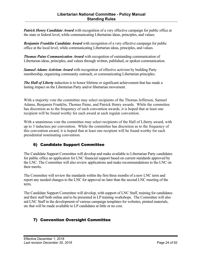<span id="page-23-0"></span>*Patrick Henry Candidate Award* with recognition of a very effective campaign for public office at the state or federal level, while communicating Libertarian ideas, principles, and values.

*Benjamin Franklin Candidate Award* with recognition of a very effective campaign for public office at the local level, while communicating Libertarian ideas, principles, and values.

*Thomas Paine Communication Award* with recognition of outstanding communication of Libertarian ideas, principles, and values through written, published, or spoken communication.

*Samuel Adams Activism Award* with recognition of effective activism by building Party membership, organizing community outreach, or communicating Libertarian principles.

*The Hall of Liberty* induction is to honor lifetime or significant achievement that has made a lasting impact on the Libertarian Party and/or libertarian movement.

With a majority vote the committee may select recipients of the Thomas Jefferson, Samuel Adams, Benjamin Franklin, Thomas Paine, and Patrick Henry awards. While the committee has discretion as to the frequency of such convention awards, it is hoped that at least one recipient will be found worthy for each award at each regular convention.

With a unanimous vote the committee may select recipients of the Hall of Liberty award, with up to 3 inductees per convention. While the committee has discretion as to the frequency of this convention award, it is hoped that at least one recipient will be found worthy for each presidential nominating convention.

# 6) Candidate Support Committee

The Candidate Support Committee will develop and make available to Libertarian Party candidates for public office an application for LNC financial support based on current standards approved by the LNC. The Committee will also review applications and make recommendations to the LNC on their merits.

The Committee will review the standards within the first three months of a new LNC term and report any needed changes to the LNC for approval no later than the second LNC meeting of the term.

The Candidate Support Committee will develop, with support of LNC Staff, training for candidates and their staff both online and to be presented in LP training workshops. The Committee will also aid LNC Staff in the development of various campaign templates for websites, printed materials, etc that will be made available to LP candidates at little or no cost.

# 7) Convention Oversight Committee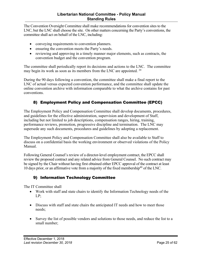The Convention Oversight Committee shall make recommendations for convention sites to the LNC, but the LNC shall choose the site. On other matters concerning the Party's conventions, the committee shall act on behalf of the LNC, including:

- conveying requirements to convention planners.
- ensuring the convention meets the Party's needs.
- reviewing and approving in a timely manner major elements, such as contracts, the convention budget and the convention program.

The committee shall periodically report its decisions and actions to the LNC. The committee may begin its work as soon as its members from the LNC are appointed. <sup>39</sup>

During the 90 days following a convention, the committee shall make a final report to the LNC of actual versus expected convention performance, and the committee shall update the online convention archive with information comparable to what the archive contains for past conventions.

# 8) Employment Policy and Compensation Committee (EPCC)

The Employment Policy and Compensation Committee shall develop documents, procedures, and guidelines for the effective administration, supervision and development of Staff, including but not limited to job descriptions, compensation ranges, hiring, training, performance reviews, promotion, progressive discipline and termination. The LNC may supersede any such documents, procedures and guidelines by adopting a replacement.

The Employment Policy and Compensation Committee shall also be available to Staff to discuss on a confidential basis the working environment or observed violations of the Policy Manual.

Following General Counsel's review of a director-level employment contract, the EPCC shall review the proposed contract and any related advice from General Counsel. No such contract may be signed by the Chair without having first obtained either EPCC approval of the contract at least 10 days prior, or an affirmative vote from a majority of the fixed membership<sup>40</sup> of the LNC.

# 9) Information Technology Committee

The IT Committee shall

- Work with staff and state chairs to identify the Information Technology needs of the LP;
- Discuss with staff and state chairs the anticipated IT needs and how to meet those needs;
- Survey the list of possible vendors and solutions to those needs, and reduce the list to a small number;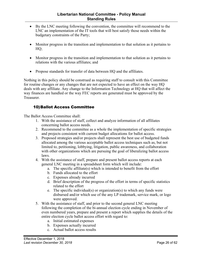- <span id="page-25-0"></span>• By the LNC meeting following the convention, the committee will recommend to the LNC an implementation of the IT tools that will best satisfy those needs within the budgetary constraints of the Party;
- Monitor progress in the transition and implementation to that solution as it pertains to HQ;
- Monitor progress in the transition and implementation to that solution as it pertains to relations with the various affiliates; and
- Propose standards for transfer of data between HQ and the affiliates.

Nothing in this policy should be construed as requiring staff to consult with this Committee for routine changes or any changes that are not expected to have an effect on the way HQ deals with any affiliate. Any change to the Information Technology at HQ that will affect the way finances are handled or the way FEC reports are generated must be approved by the Treasurer.

#### 10)Ballot Access Committee

The Ballot Access Committee shall:

- 1. With the assistance of staff, collect and analyze information of all affiliates concerning ballot access needs.
- 2. Recommend to the committee as a whole the implementation of specific strategies and projects consistent with current budget allocations for ballot access.
- 3. Proposed strategies and/or projects shall represent the best use of budgeted funds allocated among the various acceptable ballot access techniques such as, but not limited to, petitioning, lobbying, litigation, public awareness, and collaboration with other organizations which are pursuing the goal of liberalizing ballot access laws.
- 4. With the assistance of staff, prepare and present ballot access reports at each general LNC meeting in a spreadsheet form which will include:
	- a. The specific affiliate(s) which is intended to benefit from the effort
	- b. Funds allocated to the effort
	- c. Expenses already incurred
	- d. Brief description of the progress of the effort in terms of specific statistics related to the effort
	- e. The specific individual(s) or organization(s) to which any funds were disbursed and/or which use of the any LP trademark, service mark, or logo were approved.
- 5. With the assistance of staff, and prior to the second general LNC meeting following the completion of the bi-annual election cycle ending in November of even numbered years, prepare and present a report which supplies the details of the entire election cycle ballot access effort with regard to:
	- a. Initial estimated expenses
	- b. Expenses actually incurred
	- c. Actual ballot access results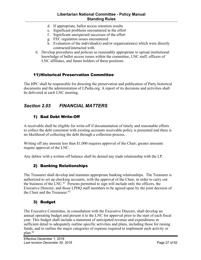#### **Libertarian National Committee - Policy Manual Standing Rules**

- <span id="page-26-0"></span>d. If appropriate, ballot access retention results
- e. Significant problems encountered in the effort
- f. Significant unexpected successes of the effort
- g. FEC regulation issues encountered
- h. Evaluation of the individual(s) and/or organization(s) which were directly contracted/interacted with.
- 6. Develop procedures and policies as reasonably appropriate to spread institutional knowledge of ballot access issues within the committee, LNC staff, officers of LNC affiliates, and future holders of these positions.

#### 11)Historical Preservation Committee

The HPC shall be responsible for directing the preservation and publication of Party historical documents and the administration of LPedia.org. A report of its decisions and activities shall be delivered at each LNC meeting.

# *Section 2.03 FINANCIAL MATTERS*

# 1) Bad Debt Write-Off

A receivable shall be eligible for write-off if documentation of timely and reasonable efforts to collect the debt consistent with existing accounts receivable policy is presented and there is no likelihood of collecting the debt through a collection process.

Writing off any amount less than \$1,000 requires approval of the Chair; greater amounts require approval of the LNC.

Any debtor with a written off balance shall be denied any trade relationship with the LP.

# 2) Banking Relationships

The Treasurer shall develop and maintain appropriate banking relationships. The Treasurer is authorized to set up checking accounts, with the approval of the Chair, in order to carry out the business of the LNC.41 Persons permitted to sign will include only the officers, the Executive Director, and those LPHQ staff members to be agreed upon by the joint decision of the Chair and the Treasurer.<sup>42</sup>

# 3) Budget

The Executive Committee, in consultation with the Executive Director, shall develop an annual operating budget and present it to the LNC for approval prior to the start of each fiscal year. This budget shall include a statement of anticipated revenue and expenditures in sufficient detail to adequately outline specific activities and plans, including those for raising funds, and to outline the major categories of expense required to implement each activity or plan.43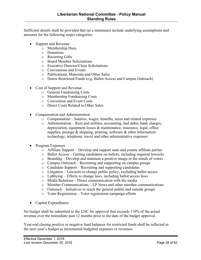Sufficient details shall be provided that (at a minimum) include underlying assumptions and amounts for the following major categories:

- Support and Revenue
	- o Membership Dues
	- o Donations
	- o Recurring Gifts
	- o Board Member Solicitations
	- o Executive Director/Chair Solicitations
	- o Conventions and Events
	- o Publications, Materials and Other Sales
	- o Donor Restricted Funds (e.g. Ballot Access and Campus Outreach)
- Cost of Support and Revenue
	- o General Fundraising Costs
	- o Membership Fundraising Costs
	- o Convention and Event Costs
	- o Direct Costs Related to Other Sales
- Compensation and Administration
	- o Compensation Salaries, wages, benefits, taxes and related expenses
	- o Administration Rent and utilities, accounting, bad debts, bank charges, depreciation, equipment leases & maintenance, insurance, legal, office supplies, postage  $\&$  shipping, printing, software  $\&$  other information technology, telephone, travel and other administrative expenses
- Program Expenses
	- o Affiliate Support Develop and support state and county affiliate parties
	- o Ballot Access Getting candidates on ballots, including required lawsuits
	- o Branding Develop and maintain a positive image in the minds of voters
	- o Campus Outreach Recruiting and supporting on campus groups
	- o Candidate Support Recruiting and supporting candidates
	- o Litigation Lawsuits to change public policy, excluding ballot access
	- o Lobbying Efforts to change laws, including ballot access laws
	- o Media Relations Direct communication with the media
	- o Member Communications LP News and other member communications
	- o Outreach Initiatives to reach the general public and outside groups
	- o Voter Registration Voter registration campaign efforts
- Capital Expenditures

No budget shall be submitted to the LNC for approval that exceeds 110% of the actual revenue over the immediate past 12 months prior to the date of the budget approval.

Year-end closing positive or negative fund balances for restricted funds shall be reflected in the next year's budget as incremental budgeted expenses or revenues.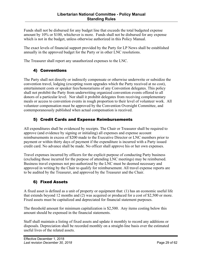<span id="page-28-0"></span>Funds shall not be disbursed for any budget line that exceeds the total budgeted expense amount by 10% or \$100, whichever is more. Funds shall not be disbursed for any expense which is not in the budget, unless otherwise authorized in this Policy Manual.

The exact levels of financial support provided by the Party for LP News shall be established annually in the approved budget for the Party or in other LNC resolutions.

The Treasurer shall report any unauthorized expenses to the LNC.

# 4) Conventions

The Party shall not directly or indirectly compensate or otherwise underwrite or subsidize the convention travel, lodging (excepting room upgrades which the Party received at no cost), entertainment costs or speaker fees/honorariums of any Convention delegates. This policy shall not prohibit the Party from underwriting organized convention events offered to all donors of a particular level. Nor shall it prohibit delegates from receiving complementary meals or access to convention events in rough proportion to their level of volunteer work. All volunteer compensation must be approved by the Convention Oversight Committee, and contemporaneously published when actual compensation is received.

# 5) Credit Cards and Expense Reimbursements

All expenditures shall be evidenced by receipts. The Chair or Treasurer shall be required to approve (and evidence by signing or initialing) all expenses and expense account reimbursements in excess of \$200 made to the Executive Director or LNC members prior to payment or within thirty days of payment if the expenditure is incurred with a Party issued credit card. No advance shall be made. No officer shall approve his or her own expenses.

Travel expenses incurred by officers for the explicit purpose of conducting Party business (excluding those incurred for the purpose of attending LNC meetings) may be reimbursed. Business travel expenses not pre-authorized by the LNC must be deemed necessary and approved in writing by the Chair to qualify for reimbursement. All travel expense reports are to be audited by the Treasurer, and approved by the Treasurer and the Chair.

# 6) Fixed Assets

A fixed asset is defined as a unit of property or equipment that: (1) has an economic useful life that extends beyond 12 months and (2) was acquired or produced for a cost of \$2,500 or more. Fixed assets must be capitalized and depreciated for financial statement purposes.

The threshold amount for minimum capitalization is \$2,500. Any items costing below this amount should be expensed in the financial statements.

Staff shall maintain a listing of fixed assets and update it monthly to record any additions or disposals. Depreciation shall be recorded monthly on a straight-line basis over the estimated useful lives of the related assets.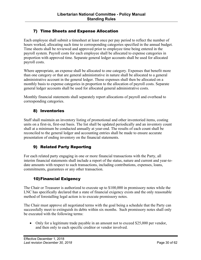# <span id="page-29-0"></span>7) Time Sheets and Expense Allocation

Each employee shall submit a timesheet at least once per pay period to reflect the number of hours worked, allocating such time to corresponding categories specified in the annual budget. Time sheets shall be reviewed and approved prior to employee time being entered in the payroll system. Payroll costs for each employee shall be allocated to expense categories in proportion with approved time. Separate general ledger accounts shall be used for allocated payroll costs.

Where appropriate, an expense shall be allocated to one category. Expenses that benefit more than one category or that are general administrative in nature shall be allocated to a general administrative account in the general ledger. Those expenses shall then be allocated on a monthly basis to expense categories in proportion to the allocation of payroll costs. Separate general ledger accounts shall be used for allocated general administrative costs.

Monthly financial statements shall separately report allocations of payroll and overhead to corresponding categories.

# 8) Inventories

Staff shall maintain an inventory listing of promotional and other inventoried items, costing units on a first-in, first-out basis. The list shall be updated periodically and an inventory count shall at a minimum be conducted annually at year-end. The results of each count shall be reconciled to the general ledger and accounting entries shall be made to ensure accurate presentation of ending inventory on the financial statements.

# 9) Related Party Reporting

For each related party engaging in one or more financial transactions with the Party, all interim financial statements shall include a report of the status, nature and current and year-todate amounts with respect to such transactions, including contributions, expenses, loans, commitments, guarantees or any other transaction.

# 10)Financial Exigency

The Chair or Treasurer is authorized to execute up to \$100,000 in promissory notes while the LNC has specifically declared that a state of financial exigency exists and the only reasonable method of forestalling legal action is to execute promissory notes.

The Chair must approve all negotiated terms with the goal being a schedule that the Party can successfully meet to extinguish its debts within six months. Such promissory notes shall only be executed with the following terms:

• Only for a legitimate trade payable in an amount not to exceed \$25,000 per vendor, and then only to each specific creditor or vendor involved.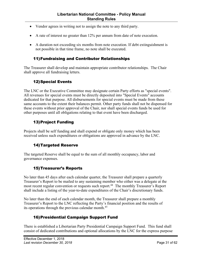- <span id="page-30-0"></span>• Vendor agrees in writing not to assign the note to any third party.
- A rate of interest no greater than 12% per annum from date of note execution.
- A duration not exceeding six months from note execution. If debt extinguishment is not possible in that time frame, no note shall be executed.

#### 11)Fundraising and Contributor Relationships

The Treasurer shall develop and maintain appropriate contributor relationships. The Chair shall approve all fundraising letters.

# 12)Special Events

The LNC or the Executive Committee may designate certain Party efforts as "special events". All revenues for special events must be directly deposited into "Special Events" accounts dedicated for that purpose. All disbursements for special events must be made from these same accounts to the extent their balances permit. Other party funds shall not be dispensed for these events without prior approval of the Chair, nor shall special events funds be used for other purposes until all obligations relating to that event have been discharged.

# 13)Project Funding

Projects shall be self funding and shall expend or obligate only money which has been received unless such expenditures or obligations are approved in advance by the LNC.

# 14)Targeted Reserve

The targeted Reserve shall be equal to the sum of all monthly occupancy, labor and governance expenses.

# 15)Treasurer's Reports

No later than 45 days after each calendar quarter, the Treasurer shall prepare a quarterly Treasurer's Report to be mailed to any sustaining member who either was a delegate at the most recent regular convention or requests such report.<sup>44</sup> The monthly Treasurer's Report shall include a listing of the year-to-date expenditures of the Chair's discretionary funds.

No later than the end of each calendar month, the Treasurer shall prepare a monthly Treasurer's Report to the LNC reflecting the Party's financial position and the results of its operations through the previous calendar month.<sup>45</sup>

# 16)Presidential Campaign Support Fund

There is established a Libertarian Party Presidential Campaign Support Fund. This fund shall consist of dedicated contributions and optional allocations by the LNC for the express purpose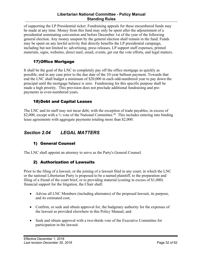#### **Libertarian National Committee - Policy Manual Standing Rules**

<span id="page-31-0"></span>of supporting the LP Presidential ticket. Fundraising appeals for these encumbered funds may be made at any time. Money from this fund may only be spent after the adjournment of a presidential nominating convention and before December 1st of the year of the following general election. Any money unspent by the general election shall remain in the fund. Funds may be spent on any lawful activity that directly benefits the LP presidential campaign, including but not limited to: advertising, press releases, LP support staff expenses, printed materials, signs, websites, direct mail, email, events, get out the vote efforts, and legal matters.

# 17)Office Mortgage

It shall be the goal of the LNC to completely pay off the office mortgage as quickly as possible, and in any case prior to the due date of the 10-year balloon payment. Towards that end the LNC shall budget a minimum of \$20,000 in each odd-numbered year to pay down the principal until the mortgage balance is zero. Fundraising for this specific purpose shall be made a high priority. This provision does not preclude additional fundraising and prepayments in even-numbered years.

# 18)Debt and Capital Leases

The LNC and its staff may not incur debt, with the exception of trade payables, in excess of \$2,000, except with a <sup>3</sup>/<sub>3</sub> vote of the National Committee.<sup>46</sup> This includes entering into binding lease agreements with aggregate payments totaling more than \$2,000.

# *Section 2.04 LEGAL MATTERS*

# 1) General Counsel

The LNC shall appoint an attorney to serve as the Party's General Counsel.

# 2) Authorization of Lawsuits

Prior to the filing of a lawsuit, or the joining of a lawsuit filed in any court, in which the LNC or the national Libertarian Party is proposed to be a named plaintiff, to the preparation and filing of a friend of the court brief, or to providing material (costing in excess of \$1,000) financial support for the litigation, the Chair shall:

- Advise all LNC Members (including alternates) of the proposed lawsuit, its purpose, and its estimated cost;
- Confirm, or seek and obtain approval for, the budgetary authority for the expenses of the lawsuit as provided elsewhere in this Policy Manual; and
- Seek and obtain approval with a two-thirds vote of the Executive Committee for participation in the lawsuit.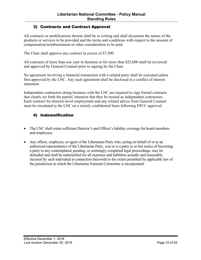# <span id="page-32-0"></span>3) Contracts and Contract Approval

All contracts or modifications thereto shall be in writing and shall document the nature of the products or services to be provided and the terms and conditions with respect to the amount of compensation/reimbursement or other consideration to be paid.

The Chair shall approve any contract in excess of \$7,500.

All contracts of more than one year in duration or for more than \$25,000 shall be reviewed and approved by General Counsel prior to signing by the Chair.

No agreement involving a financial transaction with a related party shall be executed unless first approved by the LNC. Any such agreement shall be disclosed in a conflict of interest statement.

Independent contractors doing business with the LNC are required to sign formal contracts that clearly set forth the parties' intention that they be treated as independent contractors. Each contract for director-level employment and any related advice from General Counsel must be circulated to the LNC on a strictly confidential basis following EPCC approval.

# 4) Indemnification

- The LNC shall retain sufficient Director's and Officer's liability coverage for board members and employees.
- Any officer, employee, or agent of the Libertarian Party who, acting on behalf of or as an authorized representative of the Libertarian Party, was or is a party to or has notice of becoming a party to any contemplated, pending, or seemingly completed legal proceedings, may be defended and shall be indemnified for all expenses and liabilities actually and reasonably incurred by such individual in connection therewith to the extent permitted by applicable law of the jurisdiction in which the Libertarian National Committee is incorporated.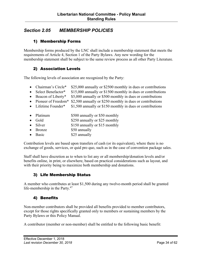# <span id="page-33-0"></span>*Section 2.05 MEMBERSHIP POLICIES*

## 1) Membership Forms

Membership forms produced by the LNC shall include a membership statement that meets the requirements of Article 4, Section 1 of the Party Bylaws. Any new wording for the membership statement shall be subject to the same review process as all other Party Literature.

# 2) Association Levels

The following levels of association are recognized by the Party:

- Chairman's Circle\* \$25,000 annually or \$2500 monthly in dues or contributions
- Select Benefactor\* \$15,000 annually or \$1500 monthly in dues or contributions
- Beacon of Liberty\* \$5,000 annually or \$500 monthly in dues or contributions
- Pioneer of Freedom<sup>\*</sup> \$2,500 annually or \$250 monthly in dues or contributions
- Lifetime Founder\* \$1,500 annually or \$150 monthly in dues or contributions
- Platinum \$500 annually or \$50 monthly
- Gold \$250 annually or \$25 monthly
- Silver \$150 annually or \$15 monthly
- Bronze \$50 annually
- Basic \$25 annually

Contribution levels are based upon transfers of cash (or its equivalent), where there is no exchange of goods, services, or quid pro quo, such as in the case of convention package sales.

Staff shall have discretion as to when to list any or all membership/donation levels and/or benefits online, in print, or elsewhere, based on practical considerations such as layout, and with their priority being to maximize both membership and donations.

# 3) Life Membership Status

A member who contributes at least \$1,500 during any twelve-month period shall be granted life-membership in the Party.<sup>47</sup>

# 4) Benefits

Non-member contributors shall be provided all benefits provided to member contributors, except for those rights specifically granted only to members or sustaining members by the Party Bylaws or this Policy Manual.

A contributor (member or non-member) shall be entitled to the following basic benefit: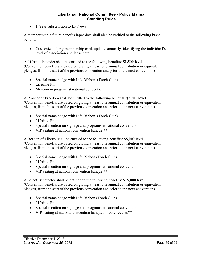• 1-Year subscription to LP News

A member with a future benefits lapse date shall also be entitled to the following basic benefit:

• Customized Party membership card, updated annually, identifying the individual's level of association and lapse date.

A Lifetime Founder shall be entitled to the following benefits: **\$1,500 level**  (Convention benefits are based on giving at least one annual contribution or equivalent pledges, from the start of the previous convention and prior to the next convention)

- Special name badge with Life Ribbon (Torch Club)
- Lifetime Pin
- Mention in program at national convention

A Pioneer of Freedom shall be entitled to the following benefits: **\$2,500 level** (Convention benefits are based on giving at least one annual contribution or equivalent pledges, from the start of the previous convention and prior to the next convention)

- Special name badge with Life Ribbon (Torch Club)
- Lifetime Pin
- Special mention on signage and programs at national convention
- VIP seating at national convention banquet\*\*

A Beacon of Liberty shall be entitled to the following benefits: **\$5,000 level** (Convention benefits are based on giving at least one annual contribution or equivalent pledges, from the start of the previous convention and prior to the next convention)

- Special name badge with Life Ribbon (Torch Club)
- Lifetime Pin
- Special mention on signage and programs at national convention
- VIP seating at national convention banquet\*\*

A Select Benefactor shall be entitled to the following benefits: **\$15,000 level**  (Convention benefits are based on giving at least one annual contribution or equivalent pledges, from the start of the previous convention and prior to the next convention)

- Special name badge with Life Ribbon (Torch Club)
- Lifetime Pin
- Special mention on signage and programs at national convention
- VIP seating at national convention banquet or other events\*\*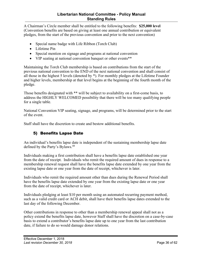#### **Libertarian National Committee - Policy Manual Standing Rules**

<span id="page-35-0"></span>A Chairman's Circle member shall be entitled to the following benefits: **\$25,000 level**  (Convention benefits are based on giving at least one annual contribution or equivalent pledges, from the start of the previous convention and prior to the next convention)

- Special name badge with Life Ribbon (Torch Club)
- Lifetime Pin
- Special mention on signage and programs at national convention
- VIP seating at national convention banquet or other events\*\*

Maintaining the Torch Club membership is based on contributions from the start of the previous national convention to the END of the next national convention and shall consist of all those in the highest 5 levels (denoted by \*). For monthly pledges at the Lifetime Founder and higher levels, membership at that level begins at the beginning of the fourth month of the pledge.

Those benefits designated with \*\* will be subject to availability on a first-come basis, to address the HIGHLY WELCOMED possibility that there will be too many qualifying people for a single table.

National Convention VIP seating, signage, and programs, will be determined prior to the start of the event.

Staff shall have the discretion to create and bestow additional benefits.

# 5) Benefits Lapse Date

An individual's benefits lapse date is independent of the sustaining membership lapse date defined by the Party's Bylaws.<sup>48</sup>

Individuals making a first contribution shall have a benefits lapse date established one year from the date of receipt. Individuals who remit the required amount of dues in response to a membership renewal request shall have the benefits lapse date extended by one year from the existing lapse date or one year from the date of receipt, whichever is later.

Individuals who remit the required amount other than dues during the Renewal Period shall have the benefits lapse date extended by one year from the existing lapse date or one year from the date of receipt, whichever is later.

Individuals pledging at least \$10 per month using an automated recurring payment method, such as a valid credit card or ACH debit, shall have their benefits lapse dates extended to the last day of the following December.

Other contributions in response to other than a membership renewal appeal shall not as a policy extend the benefits lapse date, however Staff shall have the discretion on a case-by-case basis to extend a contributor's benefits lapse date up to one year from the last contribution date, if failure to do so would damage donor relations.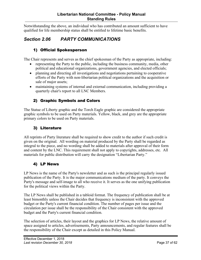<span id="page-36-0"></span>Notwithstanding the above, an individual who has contributed an amount sufficient to have qualified for life membership status shall be entitled to lifetime basic benefits.

# *Section 2.06 PARTY COMMUNICATIONS*

# 1) Official Spokesperson

The Chair represents and serves as the chief spokesman of the Party as appropriate, including:

- representing the Party to the public, including the business community, media, other political and educational organizations, government agencies, and elected officials;
- planning and directing all investigations and negotiations pertaining to cooperative efforts of the Party with non-libertarian political organizations and the acquisition or sale of major assets;
- maintaining systems of internal and external communication, including providing a quarterly chair's report to all LNC Members.

# 2) Graphic Symbols and Colors

The Statue of Liberty graphic and the Torch Eagle graphic are considered the appropriate graphic symbols to be used on Party materials. Yellow, black, and grey are the appropriate primary colors to be used on Party materials.

# 3) Literature

All reprints of Party literature shall be required to show credit to the author if such credit is given on the original. All wording on material produced by the Party shall be regarded as integral to the piece, and no wording shall be added to materials after approval of their form and content by the LNC. This requirement shall not apply to copyrights, addresses, etc. All materials for public distribution will carry the designation "Libertarian Party."

# 4) LP News

LP News is the name of the Party's newsletter and as such is the principal regularly issued publication of the Party. It is the major communications medium of the party. It conveys the Party's message and self-image to all who receive it. It serves as the one unifying publication for the political views within the Party.

The LP News shall be published in a tabloid format. The frequency of publication shall be at least bimonthly unless the Chair decides that frequency is inconsistent with the approved budget or the Party's current financial condition. The number of pages per issue and the circulation per issue shall be the responsibility of the Chair consistent with the approved budget and the Party's current financial condition.

The selection of articles, their layout and the graphics for LP News, the relative amount of space assigned to articles, advertisements, Party announcements, and regular features shall be the responsibility of the Chair except as detailed in this Policy Manual.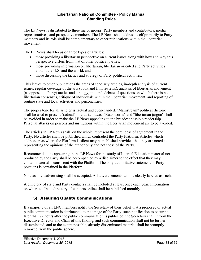<span id="page-37-0"></span>The LP News is distributed to three major groups: Party members and contributors, media representatives, and prospective members. The LP News shall address itself primarily to Party members and its role shall be complementary to other publications within the libertarian movement.

The LP News shall focus on three types of articles:

- those providing a libertarian perspective on current issues along with how and why this perspective differs from that of other political parties;
- those providing information on libertarian, libertarian oriented and Party activities around the U.S. and the world; and
- those discussing the tactics and strategy of Party political activities.

This leaves to other publications the areas of scholarly articles, in-depth analysis of current issues, regular coverage of the arts (book and film reviews), analysis of libertarian movement (as opposed to Party) tactics and strategy, in-depth debate of questions on which there is no libertarian consensus, critique of individuals within the libertarian movement, and reporting of routine state and local activities and personalities.

The proper tone for all articles is factual and even-handed. "Mainstream" political rhetoric shall be used to present "radical" libertarian ideas. "Buzz words" and "libertarian jargon" shall be avoided in order to make the LP News appealing to the broadest possible readership. Personal attacks on persons and institutions within the libertarian movement are to be avoided.

The articles in LP News shall, on the whole, represent the core ideas of agreement in the Party. No articles shall be published which contradict the Party Platform. Articles which address areas where the Platform is silent may be published provided that they are noted as representing the opinions of the author only and not those of the Party.

Recommendations appearing in the LP News for the study of Internal Education material not produced by the Party shall be accompanied by a disclaimer to the effect that they may contain material inconsistent with the Platform. The only authoritative statement of Party positions is contained in the Platform.

No classified advertising shall be accepted. All advertisements will be clearly labeled as such.

A directory of state and Party contacts shall be included at least once each year. Information on where to find a directory of contacts online shall be published monthly.

# 5) Assuring Quality Communications

If a majority of all LNC members notify the Secretary of their belief that a proposed or actual public communication is detrimental to the image of the Party, such notification to occur no later than 72 hours after the public communication is published, the Secretary shall inform the Executive Director and Chair of this finding, and such communication shall not be further disseminated, and to the extent possible, already-disseminated material shall be promptly removed from the public sphere.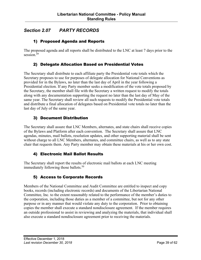# <span id="page-38-0"></span>*Section 2.07 PARTY RECORDS*

# 1) Proposed Agenda and Reports

The proposed agenda and all reports shall be distributed to the LNC at least 7 days prior to the session. 49

# 2) Delegate Allocation Based on Presidential Votes

The Secretary shall distribute to each affiliate party the Presidential vote totals which the Secretary proposes to use for purposes of delegate allocation for National Conventions as provided for in the Bylaws, no later than the last day of April in the year following a Presidential election. If any Party member seeks a modification of the vote totals proposed by the Secretary, the member shall file with the Secretary a written request to modify the totals along with any documentation supporting the request no later than the last day of May of the same year. The Secretary shall review all such requests to modify the Presidential vote totals and distribute a final allocation of delegates based on Presidential vote totals no later than the last day of July of the same year.

# 3) Document Distribution

The Secretary shall assure that LNC Members, alternates, and state chairs shall receive copies of the Bylaws and Platform after each convention. The Secretary shall assure that LNC agendas, minutes, mail ballots, resolution updates, and other supporting material shall be sent without charge to all LNC Members, alternates, and committee chairs, as well as to any state chair that requests them. Any Party member may obtain these materials at his or her own cost.

# 4) Electronic Mail Ballot Results

The Secretary shall report the results of electronic mail ballots at each LNC meeting immediately following those ballots.<sup>50</sup>

# 5) Access to Corporate Records

Members of the National Committee and Audit Committee are entitled to inspect and copy books, records (including electronic records) and documents of the Libertarian National Committee, Inc. to the extent reasonably related to the performance of the member's duties to the corporation, including those duties as a member of a committee, but not for any other purpose or in any manner that would violate any duty to the corporation. Prior to obtaining copies the member shall execute a standard nondisclosure agreement. If the member requires an outside professional to assist in reviewing and analyzing the materials, that individual shall also execute a standard nondisclosure agreement prior to receiving the materials.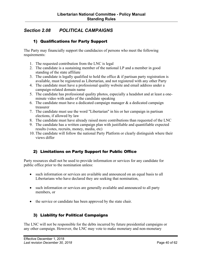# <span id="page-39-0"></span>*Section 2.08 POLITICAL CAMPAIGNS*

# 1) Qualifications for Party Support

The Party may financially support the candidacies of persons who meet the following requirements:

- 1. The requested contribution from the LNC is legal
- 2. The candidate is a sustaining member of the national LP and a member in good standing of the state affiliate
- 3. The candidate is legally qualified to hold the office  $\&$  if partisan party registration is available, must be registered as Libertarian, and not registered with any other Party
- 4. The candidate must have a professional quality website and email address under a campaign-related domain name
- 5. The candidate has professional quality photos, especially a headshot and at least a oneminute video with audio of the candidate speaking
- 6. The candidate must have a dedicated campaign manager  $\&$  a dedicated campaign treasurer
- 7. The candidate must use the word "Libertarian" in his or her campaign in partisan elections, if allowed by law
- 8. The candidate must have already raised more contributions than requested of the LNC
- 9. The candidate has a written campaign plan with justifiable and quantifiable expected results (votes, recruits, money, media, etc)
- 10. The candidate will follow the national Party Platform or clearly distinguish where their views differ

# 2) Limitations on Party Support for Public Office

Party resources shall not be used to provide information or services for any candidate for public office prior to the nomination unless:

- such information or services are available and announced on an equal basis to all Libertarians who have declared they are seeking that nomination,
- such information or services are generally available and announced to all party members, or
- the service or candidate has been approved by the state chair.

# 3) Liability for Political Campaigns

The LNC will not be responsible for the debts incurred by future presidential campaigns or any other campaign. However, the LNC may vote to make monetary and non-monetary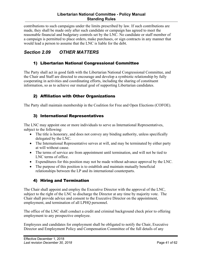<span id="page-40-0"></span>contributions to such campaigns under the limits prescribed by law. If such contributions are made, they shall be made only after such candidate or campaign has agreed to meet the reasonable financial and budgetary controls set by the LNC. No candidate or staff member of a campaign is permitted to place orders, make purchases, or sign contracts in any manner that would lead a person to assume that the LNC is liable for the debt.

# *Section 2.09 OTHER MATTERS*

# 1) Libertarian National Congressional Committee

The Party shall act in good faith with the Libertarian National Congressional Committee, and the Chair and Staff are directed to encourage and develop a symbiotic relationship by fully cooperating in activities and coordinating efforts, including the sharing of constituent information, so as to achieve our mutual goal of supporting Libertarian candidates.

# 2) Affiliation with Other Organizations

The Party shall maintain membership in the Coalition for Free and Open Elections (COFOE).

# 3) International Representatives

The LNC may appoint one or more individuals to serve as International Representatives, subject to the following:

- The title is honorary, and does not convey any binding authority, unless specifically delegated by the LNC.
- The International Representative serves at will, and may be terminated by either party at will without cause.
- The terms of service are from appointment until termination, and will not be tied to LNC terms of office.
- Expenditures for this position may not be made without advance approval by the LNC.
- The purpose of this position is to establish and maintain mutually beneficial relationships between the LP and its international counterparts.

# 4) Hiring and Termination

The Chair shall appoint and employ the Executive Director with the approval of the LNC, subject to the right of the LNC to discharge the Director at any time by majority vote. The Chair shall provide advice and consent to the Executive Director on the appointment, employment, and termination of all LPHQ personnel.

The office of the LNC shall conduct a credit and criminal background check prior to offering employment to any prospective employee.

Employees and candidates for employment shall be obligated to notify the Chair, Executive Director and Employment Policy and Compensation Committee of the full details of any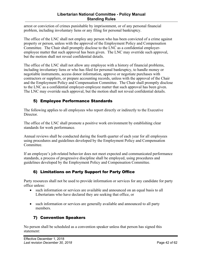#### **Libertarian National Committee - Policy Manual Standing Rules**

<span id="page-41-0"></span>arrest or conviction of crimes punishable by imprisonment, or of any personal financial problem, including involuntary liens or any filing for personal bankruptcy.

The office of the LNC shall not employ any person who has been convicted of a crime against property or person, unless with the approval of the Employment Policy and Compensation Committee. The Chair shall promptly disclose to the LNC as a confidential employeremployee matter that such approval has been given. The LNC may override such approval, but the motion shall not reveal confidential details.

The office of the LNC shall not allow any employee with a history of financial problems, including involuntary liens or who has filed for personal bankruptcy, to handle money or negotiable instruments, access donor information, approve or negotiate purchases with contractors or suppliers, or prepare accounting records, unless with the approval of the Chair and the Employment Policy and Compensation Committee. The Chair shall promptly disclose to the LNC as a confidential employer-employee matter that such approval has been given. The LNC may override such approval, but the motion shall not reveal confidential details.

# 5) Employee Performance Standards

The following applies to all employees who report directly or indirectly to the Executive Director.

The office of the LNC shall promote a positive work environment by establishing clear standards for work performance.

Annual reviews shall be conducted during the fourth quarter of each year for all employees using procedures and guidelines developed by the Employment Policy and Compensation Committee.

If an employee's job-related behavior does not meet expected and communicated performance standards, a process of progressive discipline shall be employed, using procedures and guidelines developed by the Employment Policy and Compensation Committee.

# 6) Limitations on Party Support for Party Office

Party resources shall not be used to provide information or services for any candidate for party office unless:

- such information or services are available and announced on an equal basis to all Libertarians who have declared they are seeking that office, or
- such information or services are generally available and announced to all party members.

# 7) Convention Speakers

No person shall be scheduled as a convention speaker unless that person has signed this statement: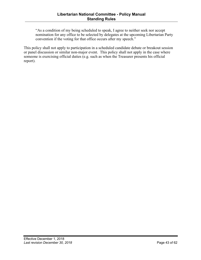"As a condition of my being scheduled to speak, I agree to neither seek nor accept nomination for any office to be selected by delegates at the upcoming Libertarian Party convention if the voting for that office occurs after my speech."

This policy shall not apply to participation in a scheduled candidate debate or breakout session or panel discussion or similar non-major event. This policy shall not apply in the case where someone is exercising official duties (e.g. such as when the Treasurer presents his official report).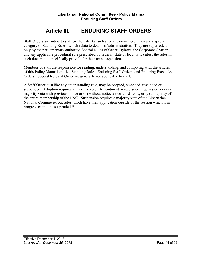# **Article III. ENDURING STAFF ORDERS**

<span id="page-43-0"></span>Staff Orders are orders to staff by the Libertarian National Committee. They are a special category of Standing Rules, which relate to details of administration. They are superseded only by the parliamentary authority, Special Rules of Order, Bylaws, the Corporate Charter and any applicable procedural rule prescribed by federal, state or local law, unless the rules in such documents specifically provide for their own suspension.

Members of staff are responsible for reading, understanding, and complying with the articles of this Policy Manual entitled Standing Rules, Enduring Staff Orders, and Enduring Executive Orders. Special Rules of Order are generally not applicable to staff.

A Staff Order, just like any other standing rule, may be adopted, amended, rescinded or suspended. Adoption requires a majority vote. Amendment or rescission requires either (a) a majority vote with previous notice or (b) without notice a two-thirds vote, or (c) a majority of the entire membership of the LNC. Suspension requires a majority vote of the Libertarian National Committee, but rules which have their application outside of the session which is in progress cannot be suspended. 51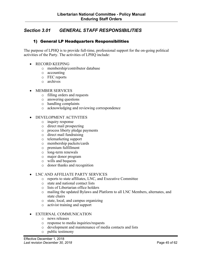# <span id="page-44-0"></span>*Section 3.01 GENERAL STAFF RESPONSIBILITIES*

#### 1) General LP Headquarters Responsibilities

The purpose of LPHQ is to provide full-time, professional support for the on-going political activities of the Party. The activities of LPHQ include:

- RECORD KEEPING
	- o membership/contributor database
	- o accounting
	- o FEC reports
	- o archives

#### • MEMBER SERVICES

- o filling orders and requests
- o answering questions
- o handling complaints
- o acknowledging and reviewing correspondence

#### • DEVELOPMENT ACTIVITIES

- o inquiry response
- o direct mail prospecting
- o process liberty pledge payments
- o direct mail fundraising
- o telemarketing support
- o membership packets/cards
- o premium fulfillment
- o long-term renewals
- o major donor program
- o wills and bequests
- o donor thanks and recognition

#### • LNC AND AFFILIATE PARTY SERVICES

- o reports to state affiliates, LNC, and Executive Committee
- o state and national contact lists
- o lists of Libertarian office holders
- o mailing the updated Bylaws and Platform to all LNC Members, alternates, and state chairs
- o state, local, and campus organizing
- o activist training and support

#### • EXTERNAL COMMUNICATION

- o news releases
- o response to media inquiries/requests
- o development and maintenance of media contacts and lists
- o public testimony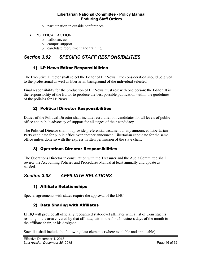- o participation in outside conferences
- <span id="page-45-0"></span>• POLITICAL ACTION
	- o ballot access
	- o campus support
	- o candidate recruitment and training

# *Section 3.02 SPECIFIC STAFF RESPONSIBILITIES*

#### 1) LP News Editor Responsibilities

The Executive Director shall select the Editor of LP News. Due consideration should be given to the professional as well as libertarian background of the individual selected.

Final responsibility for the production of LP News must rest with one person: the Editor. It is the responsibility of the Editor to produce the best possible publication within the guidelines of the policies for LP News.

# 2) Political Director Responsibilities

Duties of the Political Director shall include recruitment of candidates for all levels of public office and public advocacy of support for all stages of their candidacy.

The Political Director shall not provide preferential treatment to any announced Libertarian Party candidate for public office over another announced Libertarian candidate for the same office unless done so with the express written permission of the state chair.

# 3) Operations Director Responsibilities

The Operations Director in consultation with the Treasurer and the Audit Committee shall review the Accounting Policies and Procedures Manual at least annually and update as needed.

# *Section 3.03 AFFILIATE RELATIONS*

# 1) Affiliate Relationships

Special agreements with states require the approval of the LNC.

# 2) Data Sharing with Affiliates

LPHQ will provide all officially recognized state-level affiliates with a list of Constituents residing in the area covered by that affiliate, within the first 5 business days of the month to the affiliate chair, or his designee.

Such list shall include the following data elements (where available and applicable):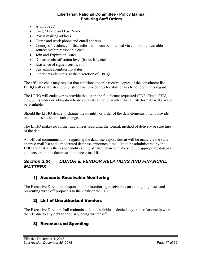- <span id="page-46-0"></span>• A unique ID
- First, Middle and Last Name
- Postal mailing address
- Home and work phone and email address
- County of residency, if that information can be obtained via commonly available sources within reasonable cost
- Join and Expiration Dates
- Donation classification level (basic, life, etc)
- Existence of signed certification
- Sustaining membership status
- Other data elements, at the discretion of LPHQ

The affiliate chair may request that additional people receive copies of the constituent list. LPHQ will establish and publish formal procedures for state chairs to follow in this regard.

The LPHQ will endeavor to provide the list in the file format requested (PDF, Excel, CSV, etc), but is under no obligation to do so, as it cannot guarantee that all file formats will always be available.

Should the LPHQ desire to change the quantity or order of the data elements, it will provide one month's notice of such change.

The LPHQ makes no further guarantees regarding the format, method of delivery or structure of the data.

All official communications regarding the database export format will be made via the state chairs e-mail list and a moderated database announce e-mail list to be administered by the LNC and that it is the responsibility of the affiliate chair to make sure the appropriate database contacts are on the database announce e-mail list.

# *Section 3.04 DONOR & VENDOR RELATIONS AND FINANCIAL MATTERS*

# 1) Accounts Receivable Monitoring

The Executive Director is responsible for monitoring receivables on an ongoing basis and presenting write off proposals to the Chair or the LNC.

# 2) List of Unauthorized Vendors

The Executive Director shall maintain a list of individuals denied any trade relationship with the LP, due to any debt to the Party being written off.

#### 3) Revenue and Spending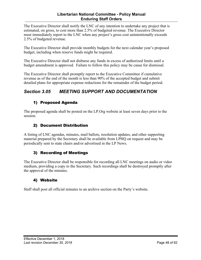#### **Libertarian National Committee - Policy Manual Enduring Staff Orders**

<span id="page-47-0"></span>The Executive Director shall notify the LNC of any intention to undertake any project that is estimated, on gross, to cost more than 2.5% of budgeted revenue. The Executive Director must immediately report to the LNC when any project's gross cost unintentionally exceeds 2.5% of budgeted revenue.

The Executive Director shall provide monthly budgets for the next calendar year's proposed budget, including when reserve funds might be required.

The Executive Director shall not disburse any funds in excess of authorized limits until a budget amendment is approved. Failure to follow this policy may be cause for dismissal.

The Executive Director shall promptly report to the Executive Committee if cumulative revenue as of the end of the month is less than 90% of the accepted budget and submit detailed plans for appropriate expense reductions for the remainder of the budget period.

# *Section 3.05 MEETING SUPPORT AND DOCUMENTATION*

# 1) Proposed Agenda

The proposed agenda shall be posted on the LP.Org website at least seven days prior to the session.

# 2) Document Distribution

A listing of LNC agendas, minutes, mail ballots, resolution updates, and other supporting material prepared by the Secretary shall be available from LPHQ on request and may be periodically sent to state chairs and/or advertised in the LP News.

# 3) Recording of Meetings

The Executive Director shall be responsible for recording all LNC meetings on audio or video medium, providing a copy to the Secretary. Such recordings shall be destroyed promptly after the approval of the minutes.

# 4) Website

Staff shall post all official minutes to an archive section on the Party's website.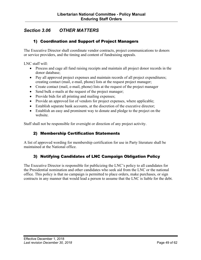# <span id="page-48-0"></span>*Section 3.06 OTHER MATTERS*

## 1) Coordination and Support of Project Managers

The Executive Director shall coordinate vendor contracts, project communications to donors or service providers, and the timing and content of fundraising appeals.

LNC staff will:

- Process and cage all fund raising receipts and maintain all project donor records in the donor database;
- Pay all approved project expenses and maintain records of all project expenditures; creating contact (mail, e-mail, phone) lists at the request project manager;
- Create contact (mail, e-mail, phone) lists at the request of the project manager
- Send bulk e-mails at the request of the project manager;
- Provide bids for all printing and mailing expenses;
- Provide an approved list of vendors for project expenses, where applicable;
- Establish separate bank accounts, at the discretion of the executive director;
- Establish an easy and prominent way to donate and pledge to the project on the website.

Staff shall not be responsible for oversight or direction of any project activity.

# 2) Membership Certification Statements

A list of approved wording for membership certification for use in Party literature shall be maintained at the National office.

# 3) Notifying Candidates of LNC Campaign Obligation Policy

The Executive Director is responsible for publicizing the LNC's policy to all candidates for the Presidential nomination and other candidates who seek aid from the LNC or the national office. This policy is that no campaign is permitted to place orders, make purchases, or sign contracts in any manner that would lead a person to assume that the LNC is liable for the debt.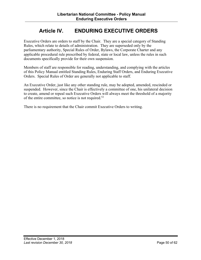# **Article IV. ENDURING EXECUTIVE ORDERS**

<span id="page-49-0"></span>Executive Orders are orders to staff by the Chair. They are a special category of Standing Rules, which relate to details of administration. They are superseded only by the parliamentary authority, Special Rules of Order, Bylaws, the Corporate Charter and any applicable procedural rule prescribed by federal, state or local law, unless the rules in such documents specifically provide for their own suspension.

Members of staff are responsible for reading, understanding, and complying with the articles of this Policy Manual entitled Standing Rules, Enduring Staff Orders, and Enduring Executive Orders. Special Rules of Order are generally not applicable to staff.

An Executive Order, just like any other standing rule, may be adopted, amended, rescinded or suspended. However, since the Chair is effectively a committee of one, his unilateral decision to create, amend or repeal such Executive Orders will always meet the threshold of a majority of the entire committee, so notice is not required.52

There is no requirement that the Chair commit Executive Orders to writing.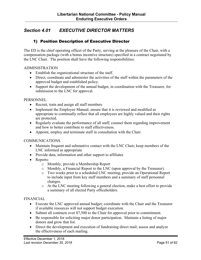# <span id="page-50-0"></span>*Section 4.01 EXECUTIVE DIRECTOR MATTERS*

## 1) Position Description of Executive Director

The ED is the chief operating officer of the Party, serving at the pleasure of the Chair, with a compensation package (with a bonus incentive structure) specified in a contract negotiated by the LNC Chair. The position shall have the following responsibilities:

#### ADMINISTRATION

- Establish the organizational structure of the staff.
- Direct, coordinate and administer the activities of the staff within the parameters of the approved budget and established policy.
- Support the development of the annual budget, in coordination with the Treasurer, for submission to the LNC for approval.

#### **PERSONNEL**

- Recruit, train and assign all staff members
- Implement the Employee Manual; ensure that it is reviewed and modified as appropriate to continually reflect that all employees are highly valued and their rights are protected.
- Regularly evaluate the performance of all staff; counsel them regarding improvement and how to better contribute to staff effectiveness.
- Appoint, employ and terminate staff in consultation with the Chair.

#### **COMMUNICATIONS**

- Maintain frequent and substantive contact with the LNC Chair; keep members of the LNC informed as appropriate
- Provide data, information and other support to affiliates
- Reports:
	- o Monthly, provide a Membership Report
	- o Monthly, a Financial Report to the LNC (upon approval by the Treasurer).
	- o Two weeks prior to a scheduled LNC meeting, provide an Operational Report to include input from key staff members and a summary of staff personnel changes.
	- o At the LNC meeting following a general election, make a best effort to provide a summary of all elected Party officeholders.

#### FINANCIAL

- Execute the LNC approved annual budget; coordinate with the Chair and the Treasurer if available resources will not support budget execution.
- Submit all contracts over \$7,500 to the Chair for approval prior to commitment.
- Be responsible for soliciting major donor participation. Maintain a listing of major donors and grow that list.
- Direct the development and execution of fundraising direct mail; assess and analyze the effectiveness of each mailing.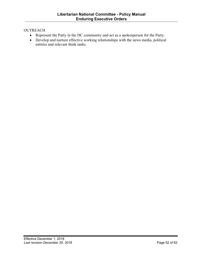#### **OUTREACH**

- Represent the Party in the DC community and act as a spokesperson for the Party.
- Develop and nurture effective working relationships with the news media, political entities and relevant think tanks.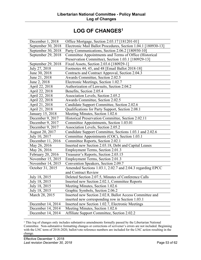# **LOG OF CHANGES1**

<span id="page-52-0"></span>

| December 1, 2018   | Office Mortgage, Section 2.03.17 [181201-01]                  |
|--------------------|---------------------------------------------------------------|
| September 30, 2018 | Electronic Mail Ballot Procedures, Section 1.04.1 [180930-13] |
| September 30, 2018 | Party Communications, Section 2.06.2 [180930-10]              |
| September 29, 2018 | Committee Appointments and Terms of Office (Historical        |
|                    | Preservation Committee), Section 1.03.1 [180929-13]           |
| September 29, 2018 | Fixed Assets, Section 2.03.6 [180929-1]                       |
| July 27, 2018      | Footnotes 44, 45, and 48 [Email Ballot 2018-18]               |
| June 30, 2018      | Contracts and Contract Approval, Section 2.04.3               |
| June 21, 2018      | Awards Committee, Section 2.02.5                              |
| June 2, 2018       | Electronic Meetings, Section 1.02.7                           |
| April 22, 2018     | Authorization of Lawsuits, Section 2.04.2                     |
| April 22, 2018     | Benefits, Section 2.05.4                                      |
| April 22, 2018     | Association Levels, Section 2.05.2                            |
| April 22, 2018     | Awards Committee, Section 2.02.5                              |
| April 21, 2018     | Candidate Support Committee, Section 2.02.6                   |
| April 21, 2018     | Qualifications for Party Support, Section 2.08.1              |
| January 15, 2018   | Meeting Minutes, Section 1.02.6                               |
| December 9, 2017   | Historical Preservation Committee, Section 2.02.11            |
| December 9, 2017   | Committee Appointments, Section 1.03.01                       |
| December 9, 2017   | Association Levels, Section 2.05.2                            |
| August 20, 2017    | Candidate Support Committee, Sections 1.03.1 and 2.02.6       |
| July 10, 2017      | Committee Appointments (COC), Section 1.03.1                  |
| December 11, 2016  | Committee Reports, Section 2.02.1                             |
| May 26, 2016       | Inserted new Section 2.03.18, Debt and Capital Leases         |
| May 26, 2016       | Employment Terms, Section 2.01.3                              |
| February 20, 2016  | Treasurer's Reports, Section 2.03.15                          |
| November 15, 2015  | Employment Terms, Section 2.01.3                              |
| November 14, 2015  | Convention Speakers, Section 2.09.7                           |
| October 31, 2015   | Amended Sections 1.03.1, 2.02.7 and 2.04.3 regarding EPCC     |
|                    | and Contract Review                                           |
| July 18, 2015      | Deleted Section 2.07.5, Minutes of Conference Calls           |
| July 18, 2015      | Inserted new Section 2.02.1, Committee Reports                |
| July 18, 2015      | Meeting Minutes, Section 1.02.6                               |
| July 18, 2015      | Graphic Symbols, Section 2.06.2                               |
| March 28, 2015     | Inserted new Section 2.02.8, Ballot Access Committee and      |
|                    | inserted new corresponding row in Section 1.03.1              |
| December 14, 2014  | Inserted new Section 1.02.7, Electronic Meetings              |
| December 14, 2014  | Meeting Minutes, Section 1.02.6                               |
| December 14, 2014  | Affiliate Support Committee, Section 2.02.2                   |
|                    |                                                               |

<sup>1</sup> This log of changes only includes substantive amendments formally passed by the Libertarian National Committee. Non-substantive formatting changes or corrections of scrivener's errors are not included. Beginning with the LNC term of 2018-2020, ballot/vote reference numbers are included for the LNC action resulting in the change.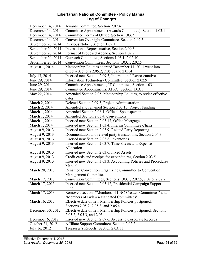#### **Libertarian National Committee - Policy Manual Log of Changes**

| December 14, 2014  | Awards Committee, Section 2.02.4                                |
|--------------------|-----------------------------------------------------------------|
| December 14, 2014  | Committee Appointments (Awards Committee), Section 1.03.1       |
| December 14, 2014  | Committee Terms of Office, Section 1.03.2                       |
| December 14, 2014  | Convention Oversight Committee, Section 2.02.5                  |
| September 20, 2014 | Previous Notice, Section 1.02.1                                 |
| September 20, 2014 | International Representative, Section 2.09.3                    |
| September 20, 2014 | Format of Proposed Agenda, Section 1.02.2                       |
| September 20, 2014 | Outreach Committee, Sections 1.03.1, 2.02.10                    |
| September 20, 2014 | Convention Committees, Sections 1.03.1, 2.02.5                  |
| August 1, 2014     | Membership Policies adopted December 11, 2011 went into         |
|                    | effect - Sections 2.05.2, 2.05.3, and 2.05.4                    |
| July 13, 2014      | Inserted new Section 2.09.3, International Representatives      |
| June 29, 2014      | Information Technology Committee, Section 2.02.9                |
| June 29, 2014      | Committee Appointments, IT Committee, Section 1.03.1            |
| June 29, 2014      | Committee Appointments, APRC, Section 1.03.1                    |
| May 22, 2014       | Amended Section 2.05, Membership Policies, to revise effective  |
|                    | dates                                                           |
| March 2, 2014      | Deleted Section 2.09.3, Project Administration                  |
| March 2, 2014      | Amended and renamed Section 2.03.13, Project Funding            |
| March 1, 2014      | Amended Section 2.06.1, Official Spokesperson                   |
| March 1, 2014      | Amended Section 2.03.4, Conventions                             |
| March 1, 2014      | Inserted new Section 2.03.17, Office Mortgage                   |
| March 1, 2014      | Inserted new Section 1.03.4, Interim Committee Chairs           |
| August 9, 2013     | Inserted new Section 2.03.9, Related Party Reporting            |
| August 9, 2013     | Documentation and related party transactions, Section 2.04.3    |
| August 9, 2013     | Inserted new Section 2.03.8, Inventories                        |
| August 9, 2013     | Inserted new Section 2.03.7, Time Sheets and Expense            |
|                    | Allocation                                                      |
| August 9, 2013     | Inserted new Section 2.03.6, Fixed Assets                       |
| August 9, 2013     | Credit cards and receipts for expenditures, Section 2.03.5      |
| August 9, 2013     | Inserted new Section 3.03.3, Accounting Policies and Procedures |
|                    | Manual                                                          |
| March 28, 2013     | Renamed Convention Organizing Committee to Convention           |
|                    | <b>Management Committee</b>                                     |
| March 17, 2013     | Convention Committees, Sections 1.03.1, 2.02.5, 2.02.6, 2.02.7  |
| March 17, 2013     | Inserted new Section 2.03.12, Presidential Campaign Support     |
|                    | Fund                                                            |
| March 17, 2013     | Removed sections "Members of LNC-Created Committees" and        |
|                    | "Members of Bylaws-Mandated Committees"                         |
| March 16, 2013     | Effective date of new Membership Policies postponed,            |
|                    | Sections 2.05.2, 2.05.3, and 2.05.4                             |
| December 30, 2012  | Effective date of new Membership Policies postponed, Sections   |
|                    | 2.05.2, 2.05.3, and 2.05.4                                      |
| December 6, 2012   | Inserted new Section 2.07.6, Access to Corporate Records        |
| October 21, 2012   | Affiliate Support Committee, Section 2.02.2                     |
| July 16, 2012      | Treasurer's Reports, Section 2.03.11                            |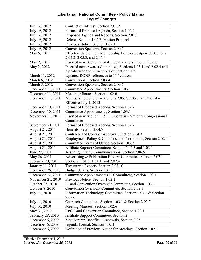#### **Libertarian National Committee - Policy Manual Log of Changes**

| July 16, 2012            | Conflict of Interest, Section 2.01.2                                 |
|--------------------------|----------------------------------------------------------------------|
| July 16, 2012            | Format of Proposed Agenda, Section 1.02.2                            |
| July 16, 2012            | Proposed Agenda and Reports, Section 2.07.1                          |
| July 16, 2012            | Deleted Section 1.02.7, Motion Protocol                              |
| July 16, 2012            | Previous Notice, Section 1.02.1                                      |
| July 16, 2012            | Convention Speakers, Section 2.09.7                                  |
| May 6, 2012              | Effective date of new Membership Policies postponed, Sections        |
|                          | 2.05.2, 2.05.3, and 2.05.4                                           |
| May 2, 2012              | Inserted new Section 2.04.4, Legal Matters Indemnification           |
| May 2, 2012              | Inserted new Awards Committee, Sections 1.03.1 and 2.02.4 and        |
|                          | alphabetized the subsections of Section 2.02                         |
| March 11, 2012           | Updated RONR references to 11 <sup>th</sup> edition                  |
| March 6, 2012            | Conventions, Section 2.03.4                                          |
| March 5, 2012            | Convention Speakers, Section 2.09.7                                  |
| December 11, 2011        | Committee Appointments, Section 1.03.1                               |
| December 11, 2011        | Meeting Minutes, Section 1.02.6                                      |
| December 11, 2011        | Membership Policies – Sections 2.05.2, 2.05.3, and $2.05.4$ –        |
|                          | Effective July 1, 2012                                               |
| December 10, 2011        | Format of Proposed Agenda, Section 1.02.2                            |
| December 10, 2011        | Committee Appointments, Section 1.03.1                               |
| November 25, 2011        | Inserted new Section 2.09.1, Libertarian National Congressional      |
|                          | Committee                                                            |
| September 21, 2011       | Format of Proposed Agenda, Section 1.02.2                            |
|                          |                                                                      |
| August 21, 2011          | Benefits, Section 2.04.7                                             |
| August 21, 2011          | Contracts and Contract Approval, Section 2.04.3                      |
| August 21, 2011          | Employment Policy & Compensation Committee, Section 2.02.4           |
| August 21, 2011          | Committee Terms of Office, Section 1.03.2                            |
| August 21, 2011          | Affiliate Support Committee, Section 2.02.5 and 1.03.1               |
| June 22, 2011            | Assuring Quality Communications, Section 2.06.5                      |
| May 26, 2011             | Advertising & Publication Review Committee, Section 2.02.1           |
| February 20, 2011        | Sections 1.01.3, 1.04.1, and 2.07.4                                  |
| January 11, 2011         | Treasurer's Reports, Section 2.03.10                                 |
| December 26, 2010        | Budget details, Section 2.03.3                                       |
| December 12, 2011        | Committee Appointments (IT Committee), Section 1.03.1                |
| November 21, 2010        | Previous Notice, Section 1.02.1                                      |
| October 25, 2010         | IT and Convention Oversight Committee, Section 1.03.1                |
| October 8, 2010          | Convention Oversight Committee, Section 2.02.3                       |
| July 11, 2010            | Information Technology Committee, Section 1.03.1 & Section<br>2.02.6 |
| July 11, 2010            | Outreach Committee, Section 1.03.1 & Section 2.02.7                  |
| July 10, 2010            | Meeting Minutes, Section 1.02.6                                      |
| May 31, 2010             | EPCC and Convention Committee, Section 1.03.1                        |
| <b>February 28, 2010</b> | Affiliate Support Committee, Section 2.                              |
| December 6, 2009         | Membership Benefits – Renewals, Section 2.05                         |
| December 6, 2009         | Agenda Format, Section 1.02.1                                        |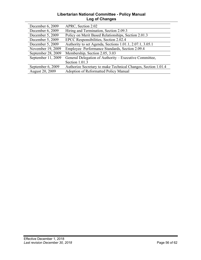#### **Libertarian National Committee - Policy Manual Log of Changes**

| December 6, 2009   | APRC, Section 2.02                                            |
|--------------------|---------------------------------------------------------------|
| December 6, 2009   | Hiring and Termination, Section 2.09.3                        |
| December 5, 2009   | Policy on Merit Based Relationships, Section 2.01.3           |
| December 5, 2009   | EPCC Responsibilities, Section 2.02.4                         |
| December 5, 2009   | Authority to set Agenda, Sections 1.01.1, 2.07.1, 3.05.1      |
| November 19, 2009  | Employee Performance Standards, Section 2.09.4                |
| September 28, 2009 | Membership, Section 2.05, 3.03                                |
| September 11, 2009 | General Delegation of Authority – Executive Committee,        |
|                    | Section 1.01.3                                                |
| September 6, 2009  | Authorize Secretary to make Technical Changes, Section 1.01.4 |
| August 20, 2009    | <b>Adoption of Reformatted Policy Manual</b>                  |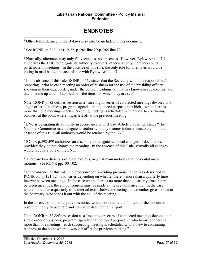#### **Libertarian National Committee - Policy Manual Endnotes**

# **ENDNOTES**

<span id="page-56-0"></span><sup>1</sup> Other terms defined in the Bylaws may also be included in this document.

<sup>2</sup> See RONR, p. 260 lines 19-22, p. 264 line 29-p. 265 line 23.

<sup>3</sup> Normally, alternates may only fill vacancies, not absences. However, Bylaw Article 7.1 authorizes the LNC to delegate its authority to others, otherwise only members could participate in meetings. In the absence of this rule, the only role for alternates would be voting in mail ballots, in accordance with Bylaw Article 13.

<sup>4</sup> In the absence of this rule, RONR p. 459 states that the Secretary would be responsible for preparing "prior to each meeting an order of business for the use of the presiding officer, showing in their exact order, under the correct headings, all matters known in advance that are due to come up and – if applicable – the times for which they are set."

Note: RONR p. 82 defines session as a "meeting or series of connected meetings devoted to a single order of business, program, agenda or announced purpose, in which—when there is more than one meeting—each succeeding meeting is scheduled with a view to continuing business at the point where it was left off at the previous meeting."

<sup>5</sup> LNC is delegating its authority in accordance with Bylaw Article 7.1, which states "The National Committee may delegate its authority in any manner it deems necessary." In the absence of this rule, all authority would be retained by the LNC.

<sup>6</sup> RONR p.598-599 authorizes an assembly to delegate technical changes of documents, provided they do not change the meaning. In the absence of this Rule, virtually all changes would require a vote of the LNC.

<sup>7</sup> There are two divisions of main motions, original main motions and incidental main motions. See RONR pp.100-102.

<sup>8</sup> In the absence of this rule, the procedure for providing previous notice is as described in RONR on pp.121-124, and varies depending on whether there is more than a quarterly time interval between meetings. In the case where there is no more than a quarterly time interval between meetings, the announcement must be made at the previous meeting. In the case where more than a quarterly time interval exists between meetings, the member gives notice to the Secretary, who sends it out with the call of the meeting.

In the absence of this rule, previous notice would not require the full text of the motion or resolution, only an accurate and complete statement of purport.

Note: RONR p. 82 defines session as a "meeting or series of connected meetings devoted to a single order of business, program, agenda or announced purpose, in which—when there is more than one meeting—each succeeding meeting is scheduled with a view to continuing business at the point where it was left off at the previous meeting."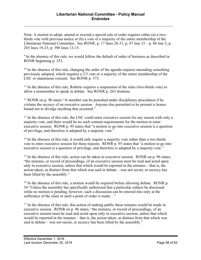Note: A motion to adopt, amend or rescind a special rule of order requires either (a) a twothirds vote with previous notice or (b) a vote of a majority of the entire membership of the Libertarian National Committee. See RONR, p. 17 lines 28-31, p. 87 line 33 – p. 88 line 5, p. 265 lines 19-23, p. 390 lines 13-15.

<sup>9</sup> In the absence of this rule, we would follow the default of order of business as described in RONR beginning p. 353.

 $10$  In the absence of this rule, changing the order of the agenda requires amending something previously adopted, which requires a 2/3 vote or a majority of the entire membership of the LNC or unanimous consent. See RONR p. 373.

<sup>11</sup> In the absence of this rule, Roberts requires a suspension of the rules (two-thirds vote) to allow a nonmember to speak in debate. See RONR p. 263 footnote.

<sup>12</sup> RONR on p. 96 states "A member can be punished under disciplinary procedures if he violates the secrecy of an executive session. Anyone else permitted to be present is honorbound not to divulge anything that occurred."

<sup>13</sup> In the absence of this rule, the LNC could enter executive session for any reason with only a majority vote, and there would be no such content requirements for the motion to enter executive session. RONR p. 95 states that "a motion to go into executive session is a question of privilege, and therefore is adopted by a majority vote."

<sup>14</sup> In the absence of this rule, it would only require a majority vote rather than a two-thirds vote to enter executive session for these reasons. RONR p. 95 states that "a motion to go into executive session is a question of privilege, and therefore is adopted by a majority vote."

<sup>15</sup> In the absence of this rule, action can be taken in executive session. RONR on p. 96 states, "the minutes, or record of proceedings, of an executive session must be read and acted upon only in executive session, unless that which would be reported in the minutes – that is, the action taken, as distinct from that which was said in debate – was not secret, or secrecy has been lifted by the assembly."

 $16$  In the absence of this rule, a motion would be required before allowing debate. RONR p. 34 "Unless the assembly has specifically authorized that a particular subject be discussed while no motion is pending, however, such a discussion can be entered into only at the sufferance of the chair or until a point of order is made…"

 $17$  In the absence of this rule, this action of making public these minutes would be made in executive session. RONR on p. 96 states, "the minutes, or record of proceedings, of an executive session must be read and acted upon only in executive session, unless that which would be reported in the minutes – that is, the action taken, as distinct from that which was said in debate – was not secret, or secrecy has been lifted by the assembly."

 $\overline{a}$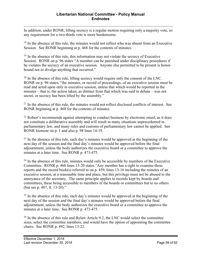$\overline{a}$ In addition, under RONR, lifting secrecy is a regular motion requiring only a majority vote, so any requirement for a two-thirds vote is more burdensome.

 $18$  In the absence of this rule, the minutes would not reflect who was absent from an Executive Session. See RONR beginning at p. 468 for the contents of minutes.

 $19$  In the absence of this rule, this information may not violate the secrecy of Executive Session. RONR on p. 96 states "A member can be punished under disciplinary procedures if he violates the secrecy of an executive session. Anyone else permitted to be present is honorbound not to divulge anything that occurred."

 $20$  In the absence of this rule, lifting secrecy would require only the consent of the LNC. RONR on p. 96 states, "the minutes, or record of proceedings, of an executive session must be read and acted upon only in executive session, unless that which would be reported in the minutes – that is, the action taken, as distinct from that which was said in debate – was not secret, or secrecy has been lifted by the assembly."

<sup>21</sup> In the absence of this rule, the minutes would not reflect disclosed conflicts of interest. See RONR beginning at p. 468 for the contents of minutes.

 $22$  Robert's recommends against attempting to conduct business by electronic email, as it does not constitute a deliberative assembly and will result in many situations unprecedented in parliamentary law, and many rules and customs of parliamentary law cannot be applied. See RONR footnote on p. 1 and also p. 98 lines 14-19.

 $^{23}$  In the absence of this rule, each day's minutes would be approved at the beginning of the next day of the session and the final day's minutes would be approved before the final adjournment, unless the body authorizes the executive board or a committee to approve the minutes at a later time. See RONR p. 473-475.

 $24$  In the absence of this rule, minutes would only be accessible by members of the Executive Committee. RONR p. 460 lines 13-20 states "Any member has a right to examine these reports and the record book(s) referred to on p. 459, lines 13-16 including the minutes of an executive session, at a reasonable time and place, but this privilege must not be abused to the annoyance of the secretary. The same principle applies to records kept by boards and committees, these being accessible to members of the boards or committees but to no others (but see p. 487, ll. 13-20)."

<sup>25</sup> In the absence of this rule, each day's minutes would be approved at the beginning of the next day of the session and the final day's minutes would be approved before the final adjournment, unless the body authorizes the executive board or a committee to approve the minutes at a later time. See RONR p. 473-475.

<sup>26</sup> In the absence of this rule and Bylaw Article 9.2, the LNC would select the committee sizes, select the committee members, and would have the option of appointing the committee chairs. See RONR p. 492, lines 13-22.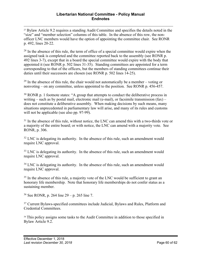<sup>27</sup> Bylaw Article 9.2 requires a standing Audit Committee and specifies the details noted in the "size" and "member selection" columns of this table. In the absence of this row, the nonofficer LNC members would have the option of appointing the committee chair. See RONR p. 492, lines 20-22.

 $28$  In the absence of this rule, the term of office of a special committee would expire when the assigned task is completed and the committee reported back to the assembly (see RONR p. 492 lines 3-7), except that in a board the special committee would expire with the body that appointed it (see RONR p. 502 lines 31-35). Standing committees are appointed for a term corresponding to that of the officers, but the members of standing committees continue their duties until their successors are chosen (see RONR p. 502 lines 14-25).

 $29$  In the absence of this rule, the chair would not automatically be a member – voting or nonvoting – on any committee, unless appointed to the position. See RONR p. 456-457.

 $30$  RONR p. 1 footnote states: "A group that attempts to conduct the deliberative process in writing – such as by postal mail, electronic mail (e-mail), or facsimile transmission  $(fax)$  – does not constitute a deliberative assembly. When making decisions by such means, many situations unprecedented in parliamentary law will arise, and many of its rules and customs will not be applicable (see also pp. 97-99).

 $31$  In the absence of this rule, without notice, the LNC can amend this with a two-thirds vote or a majority of the entire board; or with notice, the LNC can amend with a majority vote. See RONR, p. 306.

 $32$  LNC is delegating its authority. In the absence of this rule, such an amendment would require LNC approval.

<sup>33</sup> LNC is delegating its authority. In the absence of this rule, such an amendment would require LNC approval.

 $34$  LNC is delegating its authority. In the absence of this rule, such an amendment would require LNC approval.

<sup>35</sup> In the absence of this rule, a majority vote of the LNC would be sufficient to grant an honorary life membership. Note that honorary life memberships do not confer status as a sustaining member.

<sup>36</sup> See RONR, p. 264 line 29 – p. 265 line 7.

<sup>37</sup> Current Bylaws-specified committees include Judicial, Bylaws and Rules, Platform and Credential Committees.

<sup>38</sup> This policy assigns some tasks to the Audit Committee in addition to those specified in Bylaw Article 9.2.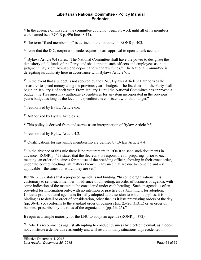<sup>39</sup> In the absence of this rule, the committee could not begin its work until all of its members were named (see RONR p. 496 lines 8-11).

<sup>40</sup> The term "fixed membership" is defined in the footnote on RONR p. 403.

<sup>41</sup> Note that the D.C. corporation code requires board approval to open a bank account.

<sup>42</sup> Bylaws Article 9.4 states, "The National Committee shall have the power to designate the depository of all funds of the Party, and shall appoint such officers and employees as in its judgment may seem advisable to deposit and withdraw funds." The National Committee is delegating its authority here in accordance with Bylaws Article 7.1.

<sup>43</sup> In the event that a budget is not adopted by the LNC, Bylaws Article 9.1 authorizes the Treasurer to spend money using the previous year's budget. "The fiscal term of the Party shall begin on January 1 of each year. From January 1 until the National Committee has approved a budget, the Treasurer may authorize expenditures for any item incorporated in the previous year's budget as long as the level of expenditure is consistent with that budget."

<sup>44</sup> Authorized by Bylaw Article 6.6.

<sup>45</sup> Authorized by Bylaw Article 6.6.

<sup>46</sup> This policy is derived from and serves as an interpretation of Bylaw Article 9.5.

<sup>47</sup> Authorized by Bylaw Article 4.2.

<sup>48</sup> Qualifications for sustaining membership are defined by Bylaw Article 4.4.

<sup>49</sup> In the absence of this rule there is no requirement in RONR to send such documents in advance. RONR p. 459 states that the Secretary is responsible for preparing "prior to each meeting, an order of business for the use of the presiding officer, showing in their exact order, under the correct headings, all matters known in advance that are due to come up and – if applicable – the times for which they are set."

RONR p. 372 states that a proposed agenda is not binding. "In some organizations, it is customary to send each member, in advance of a meeting, an order of business or agenda, with some indication of the matters to be considered under each heading. Such an agenda is often provided for information only, with no intention or practice of submitting it for adoption. Unless a pre-circulated agenda is formally adopted at the session to which it applies, it is not binding as to detail or order of consideration, other than as it lists preexisting orders of the day (pp. 364ff.) or conforms to the standard order of business (pp. 25-26, 353ff.) or an order of business prescribed by the rules of the organization (pp. 16, 25)."

It requires a simple majority for the LNC to adopt an agenda (RONR p. 372).

<sup>50</sup> Robert's recommends against attempting to conduct business by electronic email, as it does not constitute a deliberative assembly and will result in many situations unprecedented in